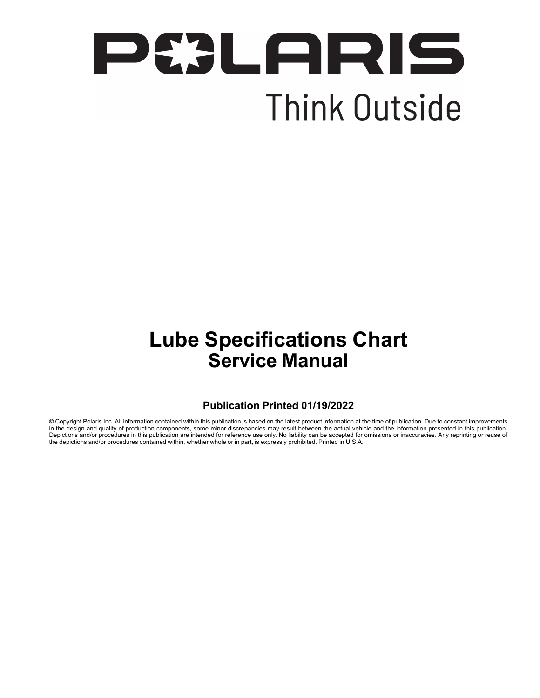

# **Lube Specifications Chart Service Manual**

#### **Publication Printed 01/19/2022**

© Copyright Polaris Inc. All information contained within this publication is based on the latest product information at the time of publication. Due to constant improvements in the design and quality of production components, some minor discrepancies may result between the actual vehicle and the information presented in this publication. Depictions and/or procedures in this publication are intended for reference use only. No liability can be accepted for omissions or inaccuracies. Any reprinting or reuse of the depictions and/or procedures contained within, whether whole or in part, is expressly prohibited. Printed in U.S.A.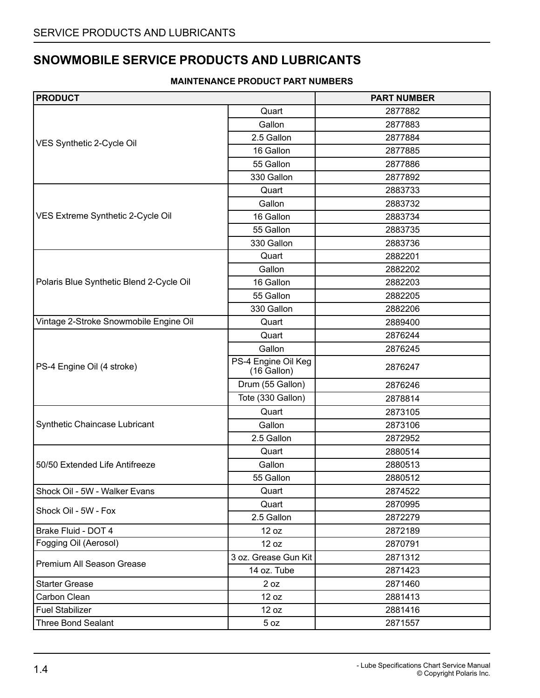#### **SNOWMOBILE SERVICE PRODUCTS AND LUBRICANTS**

#### **MAINTENANCE PRODUCT PART NUMBERS**

| <b>PRODUCT</b>                           |                                       | <b>PART NUMBER</b> |
|------------------------------------------|---------------------------------------|--------------------|
|                                          | Quart                                 | 2877882            |
|                                          | Gallon                                | 2877883            |
| VES Synthetic 2-Cycle Oil                | 2.5 Gallon                            | 2877884            |
|                                          | 16 Gallon                             | 2877885            |
|                                          | 55 Gallon                             | 2877886            |
|                                          | 330 Gallon                            | 2877892            |
|                                          | Quart                                 | 2883733            |
|                                          | Gallon                                | 2883732            |
| VES Extreme Synthetic 2-Cycle Oil        | 16 Gallon                             | 2883734            |
|                                          | 55 Gallon                             | 2883735            |
|                                          | 330 Gallon                            | 2883736            |
|                                          | Quart                                 | 2882201            |
|                                          | Gallon                                | 2882202            |
| Polaris Blue Synthetic Blend 2-Cycle Oil | 16 Gallon                             | 2882203            |
|                                          | 55 Gallon                             | 2882205            |
|                                          | 330 Gallon                            | 2882206            |
| Vintage 2-Stroke Snowmobile Engine Oil   | Quart                                 | 2889400            |
|                                          | Quart                                 | 2876244            |
|                                          | Gallon                                | 2876245            |
| PS-4 Engine Oil (4 stroke)               | PS-4 Engine Oil Keg<br>$(16)$ Gallon) | 2876247            |
|                                          | Drum (55 Gallon)                      | 2876246            |
|                                          | Tote (330 Gallon)                     | 2878814            |
|                                          | Quart                                 | 2873105            |
| Synthetic Chaincase Lubricant            | Gallon                                | 2873106            |
|                                          | 2.5 Gallon                            | 2872952            |
|                                          | Quart                                 | 2880514            |
| 50/50 Extended Life Antifreeze           | Gallon                                | 2880513            |
|                                          | 55 Gallon                             | 2880512            |
| Shock Oil - 5W - Walker Evans            | Quart                                 | 2874522            |
|                                          | Quart                                 | 2870995            |
| Shock Oil - 5W - Fox                     | 2.5 Gallon                            | 2872279            |
| Brake Fluid - DOT 4                      | 12 oz                                 | 2872189            |
| Fogging Oil (Aerosol)                    | 12 oz                                 | 2870791            |
|                                          | 3 oz. Grease Gun Kit                  | 2871312            |
| Premium All Season Grease                | 14 oz. Tube                           | 2871423            |
| <b>Starter Grease</b>                    | 2 oz                                  | 2871460            |
| Carbon Clean                             | 12 oz                                 | 2881413            |
| <b>Fuel Stabilizer</b>                   | 12 oz                                 | 2881416            |
| <b>Three Bond Sealant</b>                | 5 <sub>oz</sub>                       | 2871557            |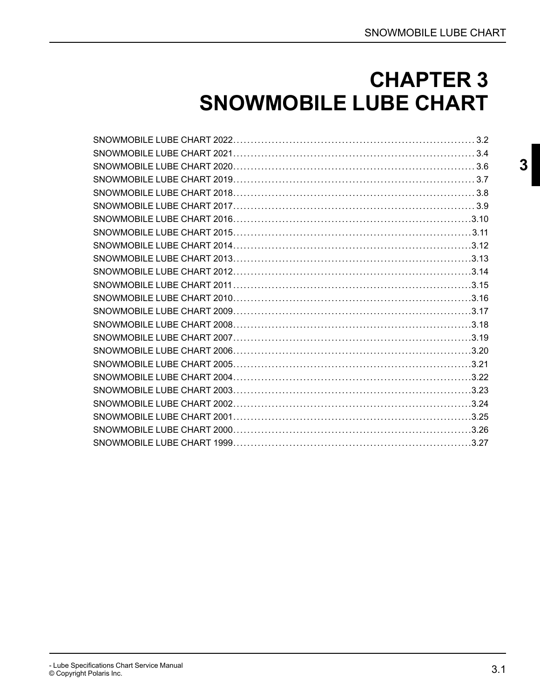# **CHAPTER 3 SNOWMOBILE LUBE CHART**

<span id="page-2-0"></span>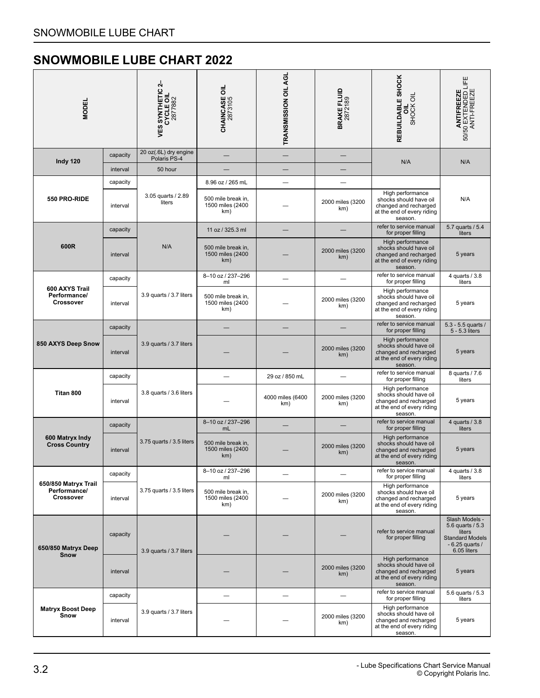<span id="page-3-0"></span>

| <b>MODEL</b>                                             |          | 4<br><b>VES SYNTHETIC 2</b><br>CYCLE OIL<br>2877882 | <b>CHAINCASE OIL</b><br>2873105               | TRANSMISSION OIL AGL    | BRAKE FLUID<br>2872189  | REBUILDABLE SHOCK<br>SHOCK OIL<br>ಕ                                                                          | <b>ANTIFREEZE</b><br>50/50 EXTENDED LIFE<br>ANTI-FREEZE                                                   |
|----------------------------------------------------------|----------|-----------------------------------------------------|-----------------------------------------------|-------------------------|-------------------------|--------------------------------------------------------------------------------------------------------------|-----------------------------------------------------------------------------------------------------------|
| Indy 120                                                 | capacity | 20 oz(.6L) dry engine<br>Polaris PS-4               |                                               |                         |                         | N/A                                                                                                          | N/A                                                                                                       |
|                                                          | interval | 50 hour                                             |                                               |                         |                         |                                                                                                              |                                                                                                           |
|                                                          | capacity |                                                     | 8.96 oz / 265 mL                              |                         |                         |                                                                                                              |                                                                                                           |
| 550 PRO-RIDE                                             | interval | 3.05 quarts / 2.89<br>liters                        | 500 mile break in,<br>1500 miles (2400<br>km) |                         | 2000 miles (3200<br>km) | High performance<br>shocks should have oil<br>changed and recharged<br>at the end of every riding<br>season. | N/A                                                                                                       |
|                                                          | capacity |                                                     | 11 oz / 325.3 ml                              |                         |                         | refer to service manual<br>for proper filling                                                                | 5.7 quarts / 5.4<br>liters                                                                                |
| 600R                                                     | interval | N/A                                                 | 500 mile break in.<br>1500 miles (2400<br>km) |                         | 2000 miles (3200<br>km) | High performance<br>shocks should have oil<br>changed and recharged<br>at the end of every riding<br>season. | 5 years                                                                                                   |
|                                                          | capacity |                                                     | 8-10 oz / 237-296<br>ml                       |                         |                         | refer to service manual<br>for proper filling                                                                | 4 quarts / 3.8<br>liters                                                                                  |
| 600 AXYS Trail<br>Performance/<br><b>Crossover</b>       | interval | 3.9 quarts / 3.7 liters                             | 500 mile break in.<br>1500 miles (2400<br>km) |                         | 2000 miles (3200<br>km) | High performance<br>shocks should have oil<br>changed and recharged<br>at the end of every riding<br>season. | 5 years                                                                                                   |
|                                                          | capacity |                                                     |                                               |                         |                         | refer to service manual<br>for proper filling                                                                | 5.3 - 5.5 quarts /<br>5 - 5.3 liters                                                                      |
| 850 AXYS Deep Snow                                       | interval | 3.9 quarts / 3.7 liters                             |                                               |                         | 2000 miles (3200<br>km) | High performance<br>shocks should have oil<br>changed and recharged<br>at the end of every riding<br>season. | 5 years                                                                                                   |
|                                                          | capacity |                                                     |                                               | 29 oz / 850 mL          |                         | refer to service manual<br>for proper filling                                                                | 8 quarts / 7.6<br>liters                                                                                  |
| Titan 800                                                | interval | 3.8 quarts / 3.6 liters                             |                                               | 4000 miles (6400<br>km) | 2000 miles (3200<br>km) | High performance<br>shocks should have oil<br>changed and recharged<br>at the end of every riding<br>season. | 5 years                                                                                                   |
|                                                          | capacity |                                                     | 8-10 oz / 237-296<br>mL                       |                         |                         | refer to service manual<br>for proper filling                                                                | 4 quarts / 3.8<br>liters                                                                                  |
| 600 Matryx Indy<br><b>Cross Country</b>                  | interval | 3.75 quarts / 3.5 liters                            | 500 mile break in,<br>1500 miles (2400<br>km) |                         | 2000 miles (3200<br>km) | High performance<br>shocks should have oil<br>changed and recharged<br>at the end of every riding<br>season. | 5 years                                                                                                   |
|                                                          | capacity |                                                     | 8-10 oz / 237-296<br>ml                       |                         |                         | refer to service manual<br>for proper filling                                                                | 4 quarts / 3.8<br>liters                                                                                  |
| 650/850 Matryx Trail<br>Performance/<br><b>Crossover</b> | interval | 3.75 quarts / 3.5 liters                            | 500 mile break in,<br>1500 miles (2400<br>km) |                         | 2000 miles (3200<br>km) | High performance<br>shocks should have oil<br>changed and recharged<br>at the end of every riding<br>season. | 5 years                                                                                                   |
| 650/850 Matryx Deep<br>Snow                              | capacity | 3.9 quarts / 3.7 liters                             |                                               |                         |                         | refer to service manual<br>for proper filling                                                                | Slash Models -<br>5.6 quarts / 5.3<br>liters<br><b>Standard Models</b><br>$-6.25$ quarts /<br>6.05 liters |
|                                                          | interval |                                                     |                                               |                         | 2000 miles (3200<br>km) | High performance<br>shocks should have oil<br>changed and recharged<br>at the end of every riding<br>season. | 5 years                                                                                                   |
|                                                          | capacity |                                                     |                                               |                         |                         | refer to service manual<br>for proper filling                                                                | 5.6 quarts / 5.3<br>liters                                                                                |
| <b>Matryx Boost Deep</b><br>Snow                         | interval | 3.9 quarts / 3.7 liters                             |                                               |                         | 2000 miles (3200<br>km) | High performance<br>shocks should have oil<br>changed and recharged<br>at the end of every riding<br>season. | 5 years                                                                                                   |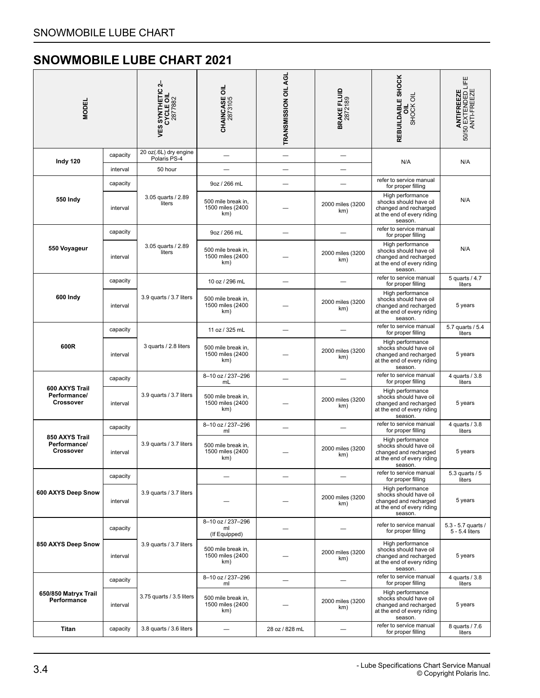<span id="page-5-0"></span>

| <b>MODEL</b>                                       |          | 4<br>$\Omega$<br><b>VES SYNTHETIC<br/>CYCLE OIL<br/>2877882</b> | <b>CHAINCASE OIL</b><br>2873105               | TRANSMISSION OIL AGL     | <b>BRAKE FLUID</b><br>2872189 | REBUILDABLE SHOCK<br>SHOCK OIL<br>ᇹ                                                                          | <b>ANTIFREEZE</b><br>50/50 EXTENDED LIFE<br>ANTI-FREEZE |
|----------------------------------------------------|----------|-----------------------------------------------------------------|-----------------------------------------------|--------------------------|-------------------------------|--------------------------------------------------------------------------------------------------------------|---------------------------------------------------------|
| Indy 120                                           | capacity | 20 oz(.6L) dry engine<br>Polaris PS-4                           |                                               | $\overline{\phantom{0}}$ |                               | N/A                                                                                                          | N/A                                                     |
|                                                    | interval | 50 hour                                                         |                                               |                          |                               |                                                                                                              |                                                         |
|                                                    | capacity |                                                                 | 9oz / 266 mL                                  |                          |                               | refer to service manual<br>for proper filling                                                                |                                                         |
| 550 Indy                                           | interval | 3.05 quarts / 2.89<br>liters                                    | 500 mile break in,<br>1500 miles (2400<br>km) |                          | 2000 miles (3200<br>km)       | High performance<br>shocks should have oil<br>changed and recharged<br>at the end of every riding<br>season. | N/A                                                     |
|                                                    | capacity |                                                                 | 9oz / 266 mL                                  |                          |                               | refer to service manual<br>for proper filling                                                                |                                                         |
| 550 Voyageur                                       | interval | 3.05 quarts / 2.89<br>liters                                    | 500 mile break in,<br>1500 miles (2400<br>km) |                          | 2000 miles (3200<br>km)       | High performance<br>shocks should have oil<br>changed and recharged<br>at the end of every riding<br>season. | N/A                                                     |
|                                                    | capacity |                                                                 | 10 oz / 296 mL                                |                          |                               | refer to service manual<br>for proper filling                                                                | 5 quarts / 4.7<br>liters                                |
| 600 Indy                                           | interval | 3.9 quarts / 3.7 liters                                         | 500 mile break in,<br>1500 miles (2400<br>km) |                          | 2000 miles (3200<br>km)       | High performance<br>shocks should have oil<br>changed and recharged<br>at the end of every riding<br>season. | 5 years                                                 |
|                                                    | capacity |                                                                 | 11 oz / 325 mL                                |                          |                               | refer to service manual<br>for proper filling                                                                | 5.7 quarts / 5.4<br>liters                              |
| 600R<br>interval                                   |          | 3 quarts / 2.8 liters                                           | 500 mile break in,<br>1500 miles (2400<br>km) |                          | 2000 miles (3200<br>km)       | High performance<br>shocks should have oil<br>changed and recharged<br>at the end of every riding<br>season. | 5 years                                                 |
|                                                    | capacity |                                                                 | 8-10 oz / 237-296<br>mL                       |                          |                               | refer to service manual<br>for proper filling                                                                | 4 quarts / 3.8<br>liters                                |
| 600 AXYS Trail<br>Performance/<br><b>Crossover</b> | interval | 3.9 quarts / 3.7 liters                                         | 500 mile break in,<br>1500 miles (2400<br>km) |                          | 2000 miles (3200<br>km)       | High performance<br>shocks should have oil<br>changed and recharged<br>at the end of every riding<br>season. | 5 years                                                 |
|                                                    | capacity |                                                                 | 8-10 oz / 237-296<br>ml                       |                          |                               | refer to service manual<br>for proper filling                                                                | 4 quarts / 3.8<br>liters                                |
| 850 AXYS Trail<br>Performance/<br><b>Crossover</b> | interval | 3.9 quarts / 3.7 liters                                         | 500 mile break in,<br>1500 miles (2400<br>km) |                          | 2000 miles (3200<br>km)       | High performance<br>shocks should have oil<br>changed and recharged<br>at the end of every riding<br>season. | 5 years                                                 |
|                                                    | capacity |                                                                 |                                               |                          |                               | refer to service manual<br>for proper filling                                                                | 5.3 quarts / 5<br>liters                                |
| 600 AXYS Deep Snow                                 | interval | 3.9 quarts / 3.7 liters                                         |                                               |                          | 2000 miles (3200<br>km)       | High performance<br>shocks should have oil<br>changed and recharged<br>at the end of every riding<br>season. | 5 years                                                 |
|                                                    | capacity |                                                                 | 8-10 oz / 237-296<br>ml<br>(If Equipped)      |                          |                               | refer to service manual<br>for proper filling                                                                | 5.3 - 5.7 quarts /<br>5 - 5.4 liters                    |
| 850 AXYS Deep Snow                                 | interval | 3.9 quarts / 3.7 liters                                         | 500 mile break in,<br>1500 miles (2400<br>km) |                          | 2000 miles (3200<br>km)       | High performance<br>shocks should have oil<br>changed and recharged<br>at the end of every riding<br>season. | 5 years                                                 |
|                                                    | capacity |                                                                 | 8-10 oz / 237-296<br>ml                       |                          |                               | refer to service manual<br>for proper filling                                                                | 4 quarts / 3.8<br>liters                                |
| 650/850 Matryx Trail<br>Performance                | interval | 3.75 quarts / 3.5 liters                                        | 500 mile break in,<br>1500 miles (2400<br>km) |                          | 2000 miles (3200<br>km)       | High performance<br>shocks should have oil<br>changed and recharged<br>at the end of every riding<br>season. | 5 years                                                 |
| <b>Titan</b>                                       | capacity | 3.8 quarts / 3.6 liters                                         |                                               | 28 oz / 828 mL           |                               | refer to service manual<br>for proper filling                                                                | 8 quarts / 7.6<br>liters                                |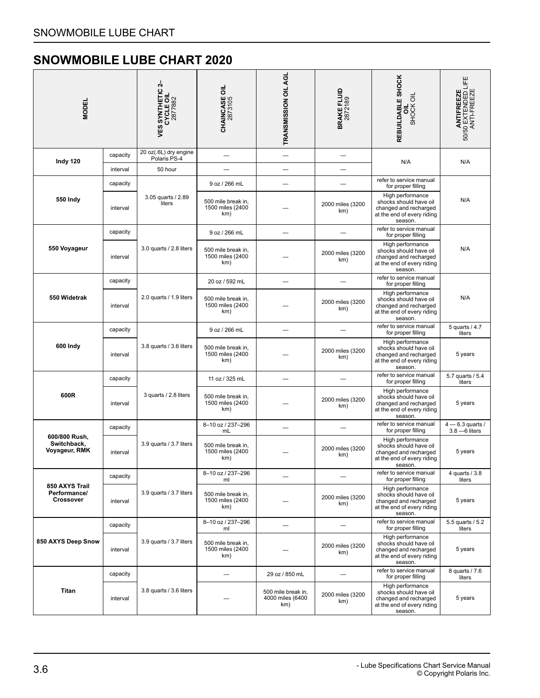<span id="page-7-0"></span>

| MODEI                                              |          | 4<br>$\overline{a}$<br><b>SYNTHETIC<br/>CYCLE OIL<br/>2877882</b><br>VES: | <b>CHAINCASE OIL</b><br>2873105               | TRANSMISSION OIL AGL                          | <b>BRAKE FLUID</b><br>2872189 | REBUILDABLE SHOCK<br>SHOCK OIL<br>ಕ                                                                          | <b>ANTIFREEZE</b><br>50/50 EXTENDED LIFE<br>ANTI-FREEZE |
|----------------------------------------------------|----------|---------------------------------------------------------------------------|-----------------------------------------------|-----------------------------------------------|-------------------------------|--------------------------------------------------------------------------------------------------------------|---------------------------------------------------------|
| Indy 120                                           | capacity | 20 oz(.6L) dry engine<br>Polaris PS-4                                     |                                               | $\overline{\phantom{0}}$                      |                               |                                                                                                              |                                                         |
|                                                    | interval | 50 hour                                                                   |                                               |                                               |                               | N/A                                                                                                          | N/A                                                     |
|                                                    | capacity |                                                                           | 9 oz / 266 mL                                 |                                               |                               | refer to service manual<br>for proper filling                                                                |                                                         |
| 550 Indy                                           | interval | 3.05 quarts / 2.89<br>liters                                              | 500 mile break in,<br>1500 miles (2400<br>km) |                                               | 2000 miles (3200<br>km)       | High performance<br>shocks should have oil<br>changed and recharged<br>at the end of every riding<br>season. | N/A                                                     |
|                                                    | capacity |                                                                           | 9 oz / 266 mL                                 |                                               |                               | refer to service manual<br>for proper filling                                                                |                                                         |
| 550 Voyageur                                       | interval | 3.0 quarts / 2.8 liters                                                   | 500 mile break in,<br>1500 miles (2400<br>km) |                                               | 2000 miles (3200<br>km)       | High performance<br>shocks should have oil<br>changed and recharged<br>at the end of every riding<br>season. | N/A                                                     |
|                                                    | capacity |                                                                           | 20 oz / 592 mL                                |                                               |                               | refer to service manual<br>for proper filling                                                                |                                                         |
| 550 Widetrak                                       | interval | 2.0 quarts / 1.9 liters                                                   | 500 mile break in,<br>1500 miles (2400<br>km) |                                               | 2000 miles (3200<br>km)       | High performance<br>shocks should have oil<br>changed and recharged<br>at the end of every riding<br>season. | N/A                                                     |
|                                                    | capacity |                                                                           | 9 oz / 266 mL                                 |                                               |                               | refer to service manual<br>for proper filling                                                                | 5 quarts / 4.7<br>liters                                |
| 600 Indy                                           | interval | 3.8 quarts / 3.6 liters                                                   | 500 mile break in,<br>1500 miles (2400<br>km) |                                               | 2000 miles (3200<br>km)       | High performance<br>shocks should have oil<br>changed and recharged<br>at the end of every riding<br>season. | 5 years                                                 |
|                                                    | capacity |                                                                           | 11 oz / 325 mL                                |                                               |                               | refer to service manual<br>for proper filling                                                                | 5.7 quarts / 5.4<br>liters                              |
| 600R                                               | interval | 3 quarts / 2.8 liters                                                     | 500 mile break in,<br>1500 miles (2400<br>km) |                                               | 2000 miles (3200<br>km)       | High performance<br>shocks should have oil<br>changed and recharged<br>at the end of every riding<br>season. | 5 years                                                 |
|                                                    | capacity |                                                                           | 8-10 oz / 237-296<br>mL                       |                                               |                               | refer to service manual<br>for proper filling                                                                | $4 - 6.3$ quarts /<br>$3.8 - 6$ liters                  |
| 600/800 Rush,<br>Switchback,<br>Voyageur, RMK      | interval | 3.9 quarts / 3.7 liters                                                   | 500 mile break in,<br>1500 miles (2400<br>km) |                                               | 2000 miles (3200<br>km)       | High performance<br>shocks should have oil<br>changed and recharged<br>at the end of every riding<br>season. | 5 years                                                 |
|                                                    | capacity |                                                                           | 8-10 oz / 237-296<br>ml                       |                                               |                               | refer to service manual<br>for proper filling                                                                | 4 quarts / 3.8<br>liters                                |
| 850 AXYS Trail<br>Performance/<br><b>Crossover</b> | interval | 3.9 quarts / 3.7 liters                                                   | 500 mile break in,<br>1500 miles (2400<br>km) |                                               | 2000 miles (3200<br>km)       | High performance<br>shocks should have oil<br>changed and recharged<br>at the end of every riding<br>season. | 5 years                                                 |
|                                                    | capacity |                                                                           | 8-10 oz / 237-296<br>ml                       |                                               |                               | refer to service manual<br>for proper filling                                                                | 5.5 quarts / 5.2<br>liters                              |
| 850 AXYS Deep Snow                                 | interval | 3.9 quarts / 3.7 liters                                                   | 500 mile break in,<br>1500 miles (2400<br>km) |                                               | 2000 miles (3200<br>km)       | High performance<br>shocks should have oil<br>changed and recharged<br>at the end of every riding<br>season. | 5 years                                                 |
|                                                    | capacity |                                                                           |                                               | 29 oz / 850 mL                                |                               | refer to service manual<br>for proper filling                                                                | 8 quarts / 7.6<br>liters                                |
| Titan                                              | interval | 3.8 quarts / 3.6 liters                                                   |                                               | 500 mile break in,<br>4000 miles (6400<br>km) | 2000 miles (3200<br>km)       | High performance<br>shocks should have oil<br>changed and recharged<br>at the end of every riding<br>season. | 5 years                                                 |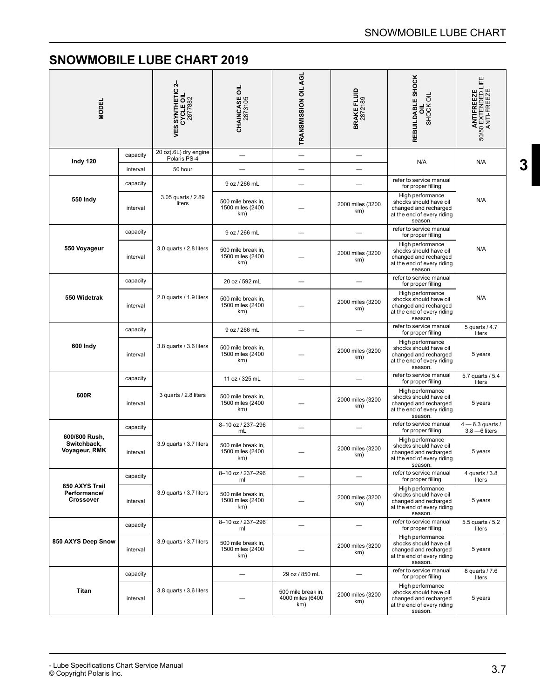<span id="page-8-0"></span>

| <b>MODEL</b>                                  |          | <b>VES SYNTHETIC 2-<br/>CYCLE OIL<br/>2877882</b> | <b>CHAINCASE OIL</b><br>2873105               | TRANSMISSION OIL AGL                          | <b>BRAKE FLUID</b><br>2872189 | REBUILDABLE SHOCK<br>SHOCK OIL                                                                               | 50/50 EXTENDED LIFE<br>ANTI-FREEZE<br>ANTIFREEZE |
|-----------------------------------------------|----------|---------------------------------------------------|-----------------------------------------------|-----------------------------------------------|-------------------------------|--------------------------------------------------------------------------------------------------------------|--------------------------------------------------|
| Indy 120                                      | capacity | 20 oz(.6L) dry engine<br>Polaris PS-4             |                                               |                                               | ٠                             | N/A                                                                                                          | N/A                                              |
|                                               | interval | 50 hour                                           |                                               |                                               |                               |                                                                                                              |                                                  |
|                                               | capacity |                                                   | 9 oz / 266 mL                                 |                                               |                               | refer to service manual<br>for proper filling                                                                |                                                  |
| 550 Indy                                      | interval | 3.05 quarts / 2.89<br>liters                      | 500 mile break in,<br>1500 miles (2400<br>km) |                                               | 2000 miles (3200<br>km)       | High performance<br>shocks should have oil<br>changed and recharged<br>at the end of every riding<br>season. | N/A                                              |
|                                               | capacity |                                                   | 9 oz / 266 mL                                 |                                               |                               | refer to service manual<br>for proper filling                                                                |                                                  |
| 550 Voyageur                                  | interval | 3.0 quarts / 2.8 liters                           | 500 mile break in,<br>1500 miles (2400<br>km) |                                               | 2000 miles (3200<br>km)       | High performance<br>shocks should have oil<br>changed and recharged<br>at the end of every riding<br>season. | N/A                                              |
|                                               | capacity |                                                   | 20 oz / 592 mL                                |                                               |                               | refer to service manual<br>for proper filling                                                                |                                                  |
| 550 Widetrak                                  | interval | 2.0 quarts / 1.9 liters                           | 500 mile break in,<br>1500 miles (2400<br>km) |                                               | 2000 miles (3200<br>km)       | High performance<br>shocks should have oil<br>changed and recharged<br>at the end of every riding<br>season. | N/A                                              |
|                                               | capacity |                                                   | 9 oz / 266 mL                                 |                                               |                               | refer to service manual<br>for proper filling                                                                | 5 quarts / 4.7<br>liters                         |
| 600 Indy                                      | interval | 3.8 quarts / 3.6 liters                           | 500 mile break in,<br>1500 miles (2400<br>km) |                                               | 2000 miles (3200<br>km)       | High performance<br>shocks should have oil<br>changed and recharged<br>at the end of every riding<br>season. | 5 years                                          |
|                                               | capacity |                                                   | 11 oz / 325 mL                                |                                               |                               | refer to service manual<br>for proper filling                                                                | 5.7 quarts / 5.4<br>liters                       |
| 600R                                          | interval | 3 quarts / 2.8 liters                             | 500 mile break in,<br>1500 miles (2400<br>km) |                                               | 2000 miles (3200<br>km)       | High performance<br>shocks should have oil<br>changed and recharged<br>at the end of every riding<br>season. | 5 years                                          |
|                                               | capacity |                                                   | 8-10 oz / 237-296<br>mL                       |                                               |                               | refer to service manual<br>for proper filling                                                                | $4 - 6.3$ quarts /<br>$3.8 - 6$ liters           |
| 600/800 Rush,<br>Switchback,<br>Voyageur, RMK | interval | 3.9 quarts / 3.7 liters                           | 500 mile break in,<br>1500 miles (2400<br>km) |                                               | 2000 miles (3200<br>km)       | High performance<br>shocks should have oil<br>changed and recharged<br>at the end of every riding<br>season. | 5 years                                          |
|                                               | capacity |                                                   | 8-10 oz / 237-296<br>ml                       |                                               |                               | refer to service manual<br>for proper filling                                                                | 4 quarts / 3.8<br>liters                         |
| 850 AXYS Trail<br>Performance/<br>Crossover   | interval | 3.9 quarts / 3.7 liters                           | 500 mile break in,<br>1500 miles (2400<br>km) |                                               | 2000 miles (3200<br>km)       | High performance<br>shocks should have oil<br>changed and recharged<br>at the end of every riding<br>season. | 5 years                                          |
|                                               | capacity |                                                   | 8-10 oz / 237-296<br>ml                       |                                               |                               | refer to service manual<br>for proper filling                                                                | 5.5 quarts / 5.2<br>liters                       |
| 850 AXYS Deep Snow                            | interval | 3.9 quarts / 3.7 liters                           | 500 mile break in.<br>1500 miles (2400<br>km) |                                               | 2000 miles (3200<br>km)       | High performance<br>shocks should have oil<br>changed and recharged<br>at the end of every riding<br>season. | 5 years                                          |
|                                               | capacity |                                                   | ÷,                                            | 29 oz / 850 mL                                | $\overline{\phantom{0}}$      | refer to service manual<br>for proper filling                                                                | 8 quarts / 7.6<br>liters                         |
| Titan                                         | interval | 3.8 quarts / 3.6 liters                           |                                               | 500 mile break in,<br>4000 miles (6400<br>km) | 2000 miles (3200<br>km)       | High performance<br>shocks should have oil<br>changed and recharged<br>at the end of every riding<br>season. | 5 years                                          |

**[3](#page-2-0)**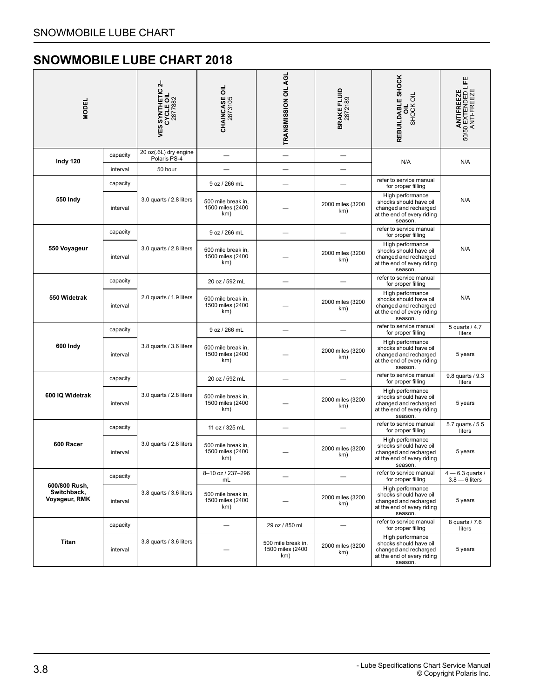<span id="page-9-0"></span>

| MODEI                        |                                                      | 4<br><b>VES SYNTHETIC 2</b><br>CYCLE OIL<br>2877882 | <b>CHAINCASE OIL</b><br>2873105               | TRANSMISSION OIL AGL                          | <b>BRAKE FLUID</b><br>2872189 | REBUILDABLE SHOCK<br>SHOCK OIL                                                                               | <b>ANTIFREEZE</b><br>50/50 EXTENDED LIFE<br>ANTI-FREEZE |
|------------------------------|------------------------------------------------------|-----------------------------------------------------|-----------------------------------------------|-----------------------------------------------|-------------------------------|--------------------------------------------------------------------------------------------------------------|---------------------------------------------------------|
| Indy 120                     | capacity                                             | 20 oz(.6L) dry engine<br>Polaris PS-4               |                                               |                                               |                               |                                                                                                              |                                                         |
|                              | interval                                             | 50 hour                                             |                                               | $\overline{\phantom{0}}$                      |                               | N/A                                                                                                          | N/A                                                     |
|                              | capacity                                             |                                                     | 9 oz / 266 mL                                 |                                               |                               | refer to service manual<br>for proper filling                                                                |                                                         |
| 550 Indy                     | interval                                             | 3.0 quarts / 2.8 liters                             | 500 mile break in,<br>1500 miles (2400<br>km) |                                               | 2000 miles (3200<br>km)       | High performance<br>shocks should have oil<br>changed and recharged<br>at the end of every riding<br>season. | N/A                                                     |
|                              | capacity                                             |                                                     | 9 oz / 266 mL                                 |                                               |                               | refer to service manual<br>for proper filling                                                                |                                                         |
| 550 Voyageur                 | interval                                             | 3.0 quarts / 2.8 liters                             | 500 mile break in.<br>1500 miles (2400<br>km) |                                               | 2000 miles (3200<br>km)       | High performance<br>shocks should have oil<br>changed and recharged<br>at the end of every riding<br>season. | N/A                                                     |
|                              | capacity                                             |                                                     | 20 oz / 592 mL                                |                                               |                               | refer to service manual<br>for proper filling                                                                |                                                         |
| 550 Widetrak                 | interval                                             | 2.0 quarts / 1.9 liters                             | 500 mile break in.<br>1500 miles (2400<br>km) |                                               | 2000 miles (3200<br>km)       | High performance<br>shocks should have oil<br>changed and recharged<br>at the end of every riding<br>season. | N/A                                                     |
|                              | capacity                                             |                                                     | 9 oz / 266 mL                                 |                                               |                               | refer to service manual<br>for proper filling                                                                | 5 quarts / 4.7<br>liters                                |
| 600 Indy                     | interval                                             | 3.8 quarts / 3.6 liters                             | 500 mile break in,<br>1500 miles (2400<br>km) |                                               | 2000 miles (3200<br>km)       | High performance<br>shocks should have oil<br>changed and recharged<br>at the end of every riding<br>season. | 5 years                                                 |
|                              | capacity                                             |                                                     | 20 oz / 592 mL                                |                                               |                               | refer to service manual<br>for proper filling                                                                | 9.8 quarts / 9.3<br>liters                              |
| 600 IQ Widetrak              | interval                                             | 3.0 quarts / 2.8 liters                             | 500 mile break in,<br>1500 miles (2400<br>km) |                                               | 2000 miles (3200<br>km)       | High performance<br>shocks should have oil<br>changed and recharged<br>at the end of every riding<br>season. | 5 years                                                 |
|                              | capacity                                             |                                                     | 11 oz / 325 mL                                |                                               |                               | refer to service manual<br>for proper filling                                                                | 5.7 quarts / 5.5<br>liters                              |
| 600 Racer                    | interval                                             | 3.0 quarts / 2.8 liters                             | 500 mile break in,<br>1500 miles (2400<br>km) |                                               | 2000 miles (3200<br>km)       | High performance<br>shocks should have oil<br>changed and recharged<br>at the end of every riding<br>season. | 5 years                                                 |
|                              | capacity                                             |                                                     | 8-10 oz / 237-296<br>mL                       |                                               |                               | refer to service manual<br>for proper filling                                                                | $4 - 6.3$ quarts /<br>$3.8 - 6$ liters                  |
| Switchback,<br>Voyageur, RMK | 600/800 Rush,<br>3.8 quarts / 3.6 liters<br>interval |                                                     | 500 mile break in,<br>1500 miles (2400<br>km) |                                               | 2000 miles (3200<br>km)       | High performance<br>shocks should have oil<br>changed and recharged<br>at the end of every riding<br>season. | 5 years                                                 |
|                              | capacity                                             |                                                     |                                               | 29 oz / 850 mL                                | $\qquad \qquad -$             | refer to service manual<br>for proper filling                                                                | 8 quarts / 7.6<br>liters                                |
| <b>Titan</b>                 | interval                                             | 3.8 quarts / 3.6 liters                             |                                               | 500 mile break in,<br>1500 miles (2400<br>km) | 2000 miles (3200<br>km)       | High performance<br>shocks should have oil<br>changed and recharged<br>at the end of every riding<br>season. | 5 years                                                 |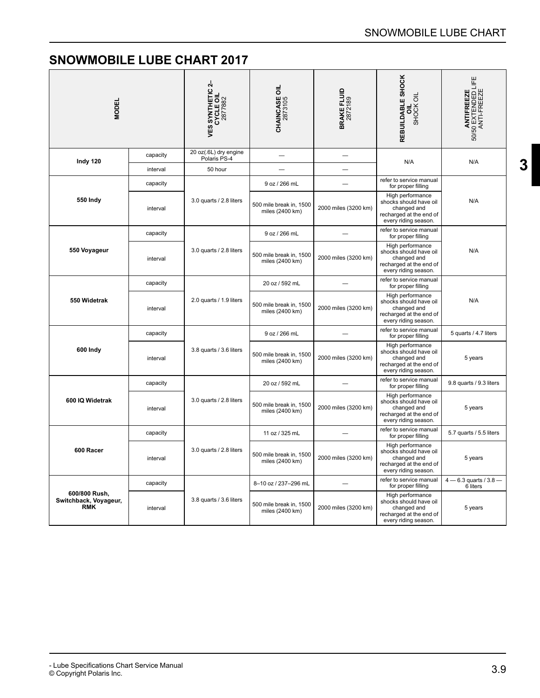**[3](#page-2-0)**

<span id="page-10-0"></span>

| <b>MODEL</b>                                         |          | <b>VES SYNTHETIC 2-<br/>CYCLE OIL</b><br>2877882 | <b>CHAINCASE OIL</b><br>2873105            | <b>BRAKE FLUID</b><br>2872189 | REBUILDABLE SHOCK<br>SHOCK OIL<br>$\equiv$                                                                   | <b>ANTIFREEZE</b><br>50/50 EXTENDED LIFE<br>ANTI-FREEZE |
|------------------------------------------------------|----------|--------------------------------------------------|--------------------------------------------|-------------------------------|--------------------------------------------------------------------------------------------------------------|---------------------------------------------------------|
| Indy 120                                             | capacity | 20 oz(.6L) dry engine<br>Polaris PS-4            |                                            |                               | N/A                                                                                                          | N/A                                                     |
|                                                      | interval | 50 hour                                          |                                            |                               |                                                                                                              |                                                         |
|                                                      | capacity |                                                  | 9 oz / 266 mL                              |                               | refer to service manual<br>for proper filling                                                                |                                                         |
| <b>550 Indy</b>                                      | interval | 3.0 quarts / 2.8 liters                          | 500 mile break in, 1500<br>miles (2400 km) | 2000 miles (3200 km)          | High performance<br>shocks should have oil<br>changed and<br>recharged at the end of<br>every riding season. | N/A                                                     |
|                                                      | capacity |                                                  | 9 oz / 266 mL                              |                               | refer to service manual<br>for proper filling                                                                |                                                         |
| 550 Voyageur                                         | interval | 3.0 quarts / 2.8 liters                          | 500 mile break in, 1500<br>miles (2400 km) | 2000 miles (3200 km)          | High performance<br>shocks should have oil<br>changed and<br>recharged at the end of<br>every riding season. | N/A                                                     |
| capacity<br>550 Widetrak<br>interval                 |          | 2.0 quarts / 1.9 liters                          | 20 oz / 592 mL                             |                               | refer to service manual<br>for proper filling                                                                |                                                         |
|                                                      |          |                                                  | 500 mile break in, 1500<br>miles (2400 km) | 2000 miles (3200 km)          | High performance<br>shocks should have oil<br>changed and<br>recharged at the end of<br>every riding season. | N/A                                                     |
|                                                      | capacity |                                                  | 9 oz / 266 mL                              |                               | refer to service manual<br>for proper filling                                                                | 5 quarts / 4.7 liters                                   |
| 600 Indy                                             | interval | 3.8 quarts / 3.6 liters                          | 500 mile break in, 1500<br>miles (2400 km) | 2000 miles (3200 km)          | High performance<br>shocks should have oil<br>changed and<br>recharged at the end of<br>every riding season. | 5 years                                                 |
|                                                      | capacity |                                                  | 20 oz / 592 mL                             |                               | refer to service manual<br>for proper filling                                                                | 9.8 quarts / 9.3 liters                                 |
| 600 IQ Widetrak                                      | interval | 3.0 quarts / 2.8 liters                          | 500 mile break in, 1500<br>miles (2400 km) | 2000 miles (3200 km)          | High performance<br>shocks should have oil<br>changed and<br>recharged at the end of<br>every riding season. | 5 years                                                 |
|                                                      | capacity |                                                  | 11 oz / 325 mL                             |                               | refer to service manual<br>for proper filling                                                                | 5.7 quarts / 5.5 liters                                 |
| 600 Racer                                            | interval | 3.0 quarts / 2.8 liters                          | 500 mile break in, 1500<br>miles (2400 km) | 2000 miles (3200 km)          | High performance<br>shocks should have oil<br>changed and<br>recharged at the end of<br>every riding season. | 5 years                                                 |
|                                                      | capacity |                                                  | 8-10 oz / 237-296 mL                       | $\sim$                        | refer to service manual<br>for proper filling                                                                | $4 - 6.3$ quarts / $3.8 -$<br>6 liters                  |
| 600/800 Rush,<br>Switchback, Voyageur,<br><b>RMK</b> | interval | 3.8 quarts / 3.6 liters                          | 500 mile break in, 1500<br>miles (2400 km) | 2000 miles (3200 km)          | High performance<br>shocks should have oil<br>changed and<br>recharged at the end of<br>every riding season. | 5 years                                                 |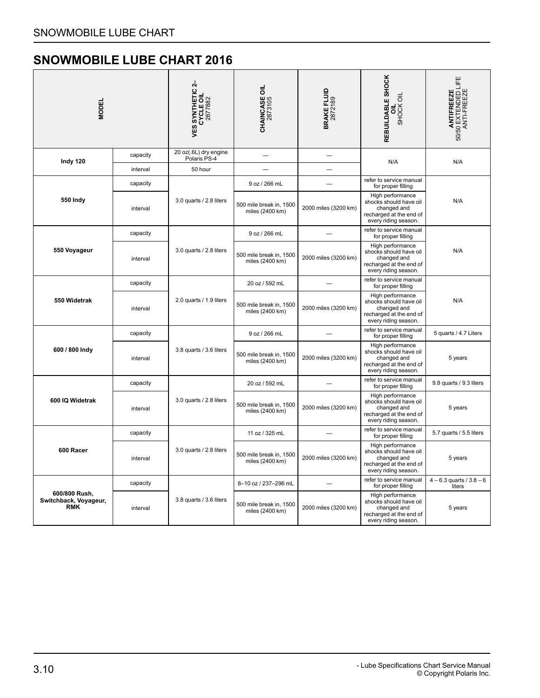<span id="page-11-0"></span>

| <b>MODEL</b>                                         |          | <b>VES SYNTHETIC 2-<br/>CYCLE OIL<br/>2877882</b> | <b>CHAINCASE OIL</b><br>2873105            | <b>BRAKE FLUID</b><br>2872189 | REBUILDABLE SHOCK<br>SHOCK OIL<br>ᇹ                                                                          | <b>ANTIFREEZE</b><br>50/50 EXTENDED LIFE<br>ANTI-FREEZE |
|------------------------------------------------------|----------|---------------------------------------------------|--------------------------------------------|-------------------------------|--------------------------------------------------------------------------------------------------------------|---------------------------------------------------------|
| Indy 120                                             | capacity | 20 oz(.6L) dry engine<br>Polaris PS-4             |                                            | $\overline{\phantom{0}}$      | N/A                                                                                                          | N/A                                                     |
|                                                      | interval | 50 hour                                           |                                            |                               |                                                                                                              |                                                         |
|                                                      | capacity |                                                   | 9 oz / 266 mL                              |                               | refer to service manual<br>for proper filling                                                                |                                                         |
| 550 Indy                                             | interval | 3.0 quarts / 2.8 liters                           | 500 mile break in, 1500<br>miles (2400 km) | 2000 miles (3200 km)          | High performance<br>shocks should have oil<br>changed and<br>recharged at the end of<br>every riding season. | N/A                                                     |
|                                                      | capacity |                                                   | 9 oz / 266 mL                              |                               | refer to service manual<br>for proper filling                                                                |                                                         |
| 550 Voyageur                                         | interval | 3.0 quarts / 2.8 liters                           | 500 mile break in, 1500<br>miles (2400 km) | 2000 miles (3200 km)          | High performance<br>shocks should have oil<br>changed and<br>recharged at the end of<br>every riding season. | N/A                                                     |
| 550 Widetrak                                         | capacity | 2.0 quarts / 1.9 liters                           | 20 oz / 592 mL                             |                               | refer to service manual<br>for proper filling                                                                |                                                         |
|                                                      | interval |                                                   | 500 mile break in, 1500<br>miles (2400 km) | 2000 miles (3200 km)          | High performance<br>shocks should have oil<br>changed and<br>recharged at the end of<br>every riding season. | N/A                                                     |
|                                                      | capacity |                                                   | 9 oz / 266 mL                              |                               | refer to service manual<br>for proper filling                                                                | 5 quarts / 4.7 Liters                                   |
| 600 / 800 Indy                                       | interval | 3.8 quarts / 3.6 liters                           | 500 mile break in, 1500<br>miles (2400 km) | 2000 miles (3200 km)          | High performance<br>shocks should have oil<br>changed and<br>recharged at the end of<br>every riding season. | 5 years                                                 |
|                                                      | capacity |                                                   | 20 oz / 592 mL                             |                               | refer to service manual<br>for proper filling                                                                | 9.8 quarts / 9.3 liters                                 |
| 600 IQ Widetrak                                      | interval | 3.0 quarts / 2.8 liters                           | 500 mile break in, 1500<br>miles (2400 km) | 2000 miles (3200 km)          | High performance<br>shocks should have oil<br>changed and<br>recharged at the end of<br>every riding season. | 5 years                                                 |
|                                                      | capacity |                                                   | 11 oz / 325 mL                             |                               | refer to service manual<br>for proper filling                                                                | 5.7 quarts / 5.5 liters                                 |
| 600 Racer                                            | interval | 3.0 quarts / 2.8 liters                           | 500 mile break in, 1500<br>miles (2400 km) | 2000 miles (3200 km)          | High performance<br>shocks should have oil<br>changed and<br>recharged at the end of<br>every riding season. | 5 years                                                 |
|                                                      | capacity |                                                   | 8-10 oz / 237-296 mL                       |                               | refer to service manual<br>for proper filling                                                                | $4 - 6.3$ quarts / $3.8 - 6$<br>liters                  |
| 600/800 Rush,<br>Switchback, Voyageur,<br><b>RMK</b> | interval | 3.8 quarts / 3.6 liters                           | 500 mile break in, 1500<br>miles (2400 km) | 2000 miles (3200 km)          | High performance<br>shocks should have oil<br>changed and<br>recharged at the end of<br>every riding season. | 5 years                                                 |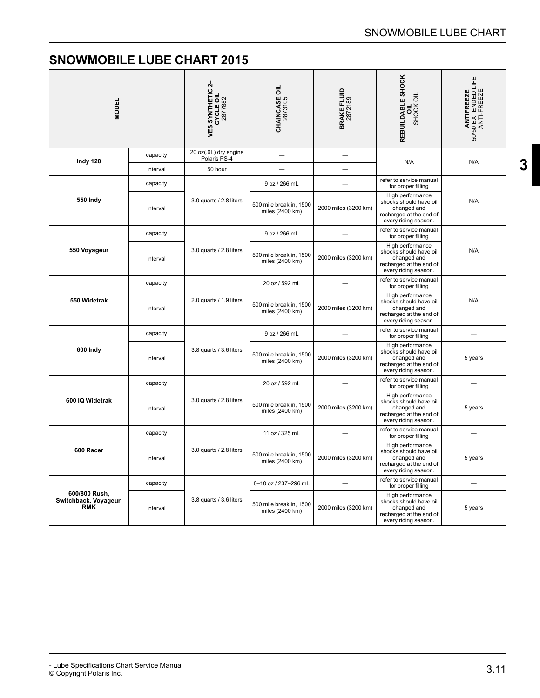<span id="page-12-0"></span>

| <b>MODEL</b>                                         |          | <b>VES SYNTHETIC 2-<br/>CYCLE OIL</b><br>2877882 | <b>CHAINCASE OIL</b><br>2873105            | <b>BRAKE FLUID</b><br>2872189 | REBUILDABLE SHOCK<br>SHOCK OIL                                                                               | <b>ANTIFREEZE</b><br>50/50 EXTENDED LIFE<br>ANTI-FREEZE |
|------------------------------------------------------|----------|--------------------------------------------------|--------------------------------------------|-------------------------------|--------------------------------------------------------------------------------------------------------------|---------------------------------------------------------|
| Indy 120                                             | capacity | 20 oz(.6L) dry engine<br>Polaris PS-4            |                                            | ÷,                            | N/A                                                                                                          | N/A                                                     |
|                                                      | interval | 50 hour                                          |                                            |                               |                                                                                                              |                                                         |
|                                                      | capacity |                                                  | 9 oz / 266 mL                              |                               | refer to service manual<br>for proper filling                                                                |                                                         |
| 550 Indy                                             | interval | 3.0 quarts / 2.8 liters                          | 500 mile break in, 1500<br>miles (2400 km) | 2000 miles (3200 km)          | High performance<br>shocks should have oil<br>changed and<br>recharged at the end of<br>every riding season. | N/A                                                     |
|                                                      | capacity |                                                  | 9 oz / 266 mL                              |                               | refer to service manual<br>for proper filling                                                                |                                                         |
| 550 Voyageur                                         | interval | 3.0 quarts / 2.8 liters                          | 500 mile break in, 1500<br>miles (2400 km) | 2000 miles (3200 km)          | High performance<br>shocks should have oil<br>changed and<br>recharged at the end of<br>every riding season. | N/A                                                     |
| 550 Widetrak                                         | capacity | 2.0 quarts / 1.9 liters                          | 20 oz / 592 mL                             |                               | refer to service manual<br>for proper filling                                                                | N/A                                                     |
|                                                      | interval |                                                  | 500 mile break in, 1500<br>miles (2400 km) | 2000 miles (3200 km)          | High performance<br>shocks should have oil<br>changed and<br>recharged at the end of<br>every riding season. |                                                         |
|                                                      | capacity |                                                  | 9 oz / 266 mL                              |                               | refer to service manual<br>for proper filling                                                                |                                                         |
| 600 Indy                                             | interval | 3.8 quarts / 3.6 liters                          | 500 mile break in, 1500<br>miles (2400 km) | 2000 miles (3200 km)          | High performance<br>shocks should have oil<br>changed and<br>recharged at the end of<br>every riding season. | 5 years                                                 |
|                                                      | capacity |                                                  | 20 oz / 592 mL                             |                               | refer to service manual<br>for proper filling                                                                |                                                         |
| 600 IQ Widetrak                                      | interval | 3.0 quarts / 2.8 liters                          | 500 mile break in, 1500<br>miles (2400 km) | 2000 miles (3200 km)          | High performance<br>shocks should have oil<br>changed and<br>recharged at the end of<br>every riding season. | 5 years                                                 |
|                                                      | capacity |                                                  | 11 oz / 325 mL                             |                               | refer to service manual<br>for proper filling                                                                |                                                         |
| 600 Racer                                            | interval | 3.0 quarts / 2.8 liters                          | 500 mile break in, 1500<br>miles (2400 km) | 2000 miles (3200 km)          | High performance<br>shocks should have oil<br>changed and<br>recharged at the end of<br>every riding season. | 5 years                                                 |
|                                                      | capacity |                                                  | 8-10 oz / 237-296 mL                       |                               | refer to service manual<br>for proper filling                                                                | $\overline{\phantom{0}}$                                |
| 600/800 Rush,<br>Switchback, Voyageur,<br><b>RMK</b> | interval | 3.8 quarts / 3.6 liters                          | 500 mile break in, 1500<br>miles (2400 km) | 2000 miles (3200 km)          | High performance<br>shocks should have oil<br>changed and<br>recharged at the end of<br>every riding season. | 5 years                                                 |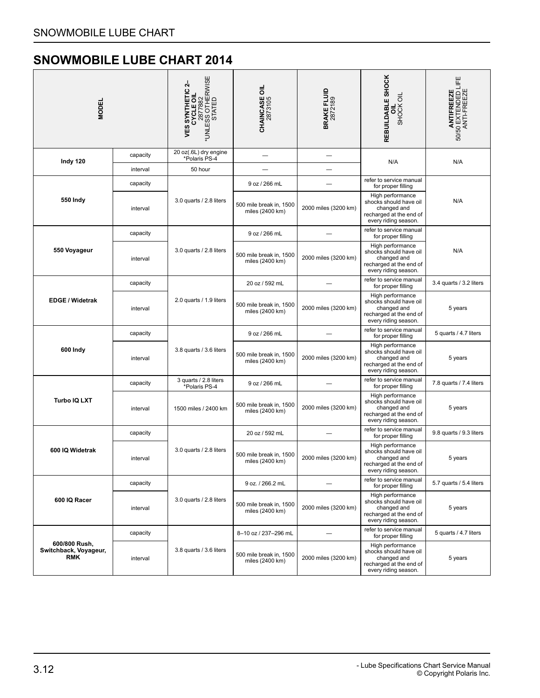<span id="page-13-0"></span>

| <b>MODEL</b>                                         |          | *UNLESS OTHERWISE<br>*UNLESS OTHERWISE<br>STATED<br>4<br><b>VES SYNTHETIC</b><br>CYCLE OIL | <b>CHAINCASE OIL</b><br>2873105            | <b>BRAKE FLUID</b><br>2872189 | REBUILDABLE SHOCK<br>SHOCK OIL<br>ᇹ                                                                          | ANTIFREEZE<br>50/50 EXTENDED LIFE<br>ANTI-FREEZE |
|------------------------------------------------------|----------|--------------------------------------------------------------------------------------------|--------------------------------------------|-------------------------------|--------------------------------------------------------------------------------------------------------------|--------------------------------------------------|
| Indy 120                                             | capacity | 20 oz(.6L) dry engine<br>*Polaris PS-4                                                     |                                            | ÷                             | N/A                                                                                                          | N/A                                              |
|                                                      | interval | 50 hour                                                                                    |                                            |                               |                                                                                                              |                                                  |
|                                                      | capacity |                                                                                            | 9 oz / 266 mL                              |                               | refer to service manual<br>for proper filling                                                                |                                                  |
| 550 Indy                                             | interval | 3.0 quarts / 2.8 liters                                                                    | 500 mile break in, 1500<br>miles (2400 km) | 2000 miles (3200 km)          | High performance<br>shocks should have oil<br>changed and<br>recharged at the end of<br>every riding season. | N/A                                              |
|                                                      | capacity |                                                                                            | 9 oz / 266 mL                              |                               | refer to service manual<br>for proper filling                                                                |                                                  |
| 550 Voyageur                                         | interval | 3.0 quarts / 2.8 liters                                                                    | 500 mile break in, 1500<br>miles (2400 km) | 2000 miles (3200 km)          | High performance<br>shocks should have oil<br>changed and<br>recharged at the end of<br>every riding season. | N/A                                              |
|                                                      | capacity |                                                                                            | 20 oz / 592 mL                             |                               | refer to service manual<br>for proper filling                                                                | 3.4 quarts / 3.2 liters                          |
| <b>EDGE / Widetrak</b>                               | interval | 2.0 quarts / 1.9 liters                                                                    | 500 mile break in, 1500<br>miles (2400 km) | 2000 miles (3200 km)          | High performance<br>shocks should have oil<br>changed and<br>recharged at the end of<br>every riding season. | 5 years                                          |
|                                                      | capacity |                                                                                            | 9 oz / 266 mL                              |                               | refer to service manual<br>for proper filling                                                                | 5 quarts / 4.7 liters                            |
| 600 Indy                                             | interval | 3.8 quarts / 3.6 liters                                                                    | 500 mile break in, 1500<br>miles (2400 km) | 2000 miles (3200 km)          | High performance<br>shocks should have oil<br>changed and<br>recharged at the end of<br>every riding season. | 5 years                                          |
|                                                      | capacity | 3 quarts / 2.8 liters<br>*Polaris PS-4                                                     | 9 oz / 266 mL                              |                               | refer to service manual<br>for proper filling                                                                | 7.8 quarts / 7.4 liters                          |
| <b>Turbo IQ LXT</b>                                  | interval | 1500 miles / 2400 km                                                                       | 500 mile break in, 1500<br>miles (2400 km) | 2000 miles (3200 km)          | High performance<br>shocks should have oil<br>changed and<br>recharged at the end of<br>every riding season. | 5 years                                          |
|                                                      | capacity |                                                                                            | 20 oz / 592 mL                             |                               | refer to service manual<br>for proper filling                                                                | 9.8 quarts / 9.3 liters                          |
| 600 IQ Widetrak                                      | interval | 3.0 quarts / 2.8 liters                                                                    | 500 mile break in, 1500<br>miles (2400 km) | 2000 miles (3200 km)          | High performance<br>shocks should have oil<br>changed and<br>recharged at the end of<br>every riding season. | 5 years                                          |
|                                                      | capacity |                                                                                            | 9 oz. / 266.2 mL                           | —                             | refer to service manual<br>for proper filling                                                                | 5.7 quarts / 5.4 liters                          |
| 600 IQ Racer                                         | interval | 3.0 quarts / 2.8 liters                                                                    | 500 mile break in, 1500<br>miles (2400 km) | 2000 miles (3200 km)          | High performance<br>shocks should have oil<br>changed and<br>recharged at the end of<br>every riding season. | 5 years                                          |
|                                                      | capacity |                                                                                            | 8-10 oz / 237-296 mL                       |                               | refer to service manual<br>for proper filling                                                                | 5 quarts / 4.7 liters                            |
| 600/800 Rush,<br>Switchback, Voyageur,<br><b>RMK</b> | interval | 3.8 quarts / 3.6 liters                                                                    | 500 mile break in, 1500<br>miles (2400 km) | 2000 miles (3200 km)          | High performance<br>shocks should have oil<br>changed and<br>recharged at the end of<br>every riding season. | 5 years                                          |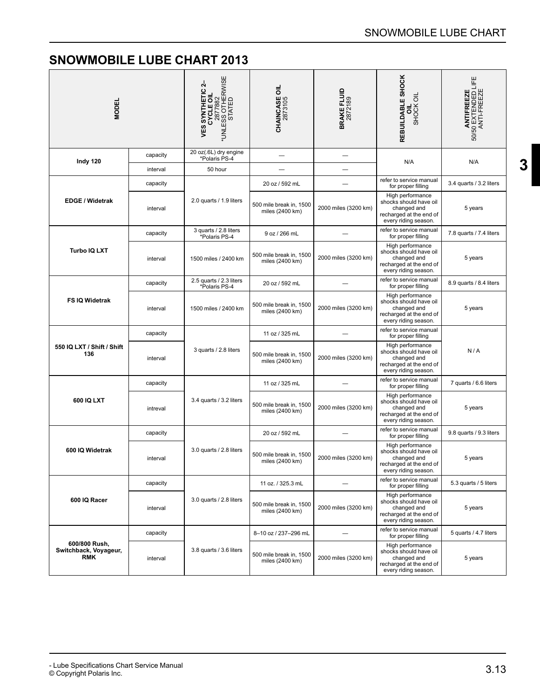**[3](#page-2-0)**

<span id="page-14-0"></span>

| <b>MODEL</b>                                         |          | <b>VES SYNTHETIC 2-<br/>CYCLE OIL</b><br>2877882<br>*UNLESS OTHERWISE<br>*UNLESS OTHERWISE | <b>CHAINCASE OIL</b><br>2873105            | <b>BRAKE FLUID</b><br>2872189 | REBUILDABLE SHOCK<br>SHOCK OIL                                                                               | <b>ANTIFREEZE</b><br>50/50 EXTENDED LIFE<br>ANTI-FREEZE |
|------------------------------------------------------|----------|--------------------------------------------------------------------------------------------|--------------------------------------------|-------------------------------|--------------------------------------------------------------------------------------------------------------|---------------------------------------------------------|
| Indy 120                                             | capacity | 20 oz(.6L) dry engine<br>*Polaris PS-4                                                     |                                            |                               | N/A                                                                                                          | N/A                                                     |
|                                                      | interval | 50 hour                                                                                    |                                            |                               |                                                                                                              |                                                         |
|                                                      | capacity |                                                                                            | 20 oz / 592 mL                             |                               | refer to service manual<br>for proper filling                                                                | 3.4 quarts / 3.2 liters                                 |
| <b>EDGE / Widetrak</b>                               | interval | 2.0 quarts / 1.9 liters                                                                    | 500 mile break in, 1500<br>miles (2400 km) | 2000 miles (3200 km)          | High performance<br>shocks should have oil<br>changed and<br>recharged at the end of<br>every riding season. | 5 years                                                 |
|                                                      | capacity | 3 quarts / 2.8 liters<br>*Polaris PS-4                                                     | 9 oz / 266 mL                              |                               | refer to service manual<br>for proper filling                                                                | 7.8 quarts / 7.4 liters                                 |
| Turbo IQ LXT                                         | interval | 1500 miles / 2400 km                                                                       | 500 mile break in, 1500<br>miles (2400 km) | 2000 miles (3200 km)          | High performance<br>shocks should have oil<br>changed and<br>recharged at the end of<br>every riding season. | 5 years                                                 |
|                                                      | capacity | 2.5 quarts / 2.3 liters<br>*Polaris PS-4                                                   | 20 oz / 592 mL                             |                               | refer to service manual<br>for proper filling                                                                | 8.9 quarts / 8.4 liters                                 |
| FS IQ Widetrak                                       | interval | 1500 miles / 2400 km                                                                       | 500 mile break in, 1500<br>miles (2400 km) | 2000 miles (3200 km)          | High performance<br>shocks should have oil<br>changed and<br>recharged at the end of<br>every riding season. | 5 years                                                 |
|                                                      | capacity | 3 quarts / 2.8 liters                                                                      | 11 oz / 325 mL                             |                               | refer to service manual<br>for proper filling                                                                |                                                         |
| 550 IQ LXT / Shift / Shift<br>136                    | interval |                                                                                            | 500 mile break in, 1500<br>miles (2400 km) | 2000 miles (3200 km)          | High performance<br>shocks should have oil<br>changed and<br>recharged at the end of<br>every riding season. | N/A                                                     |
|                                                      | capacity |                                                                                            | 11 oz / 325 mL                             |                               | refer to service manual<br>for proper filling                                                                | 7 quarts / 6.6 liters                                   |
| 600 IQ LXT                                           | intreval | 3.4 quarts / 3.2 liters                                                                    | 500 mile break in, 1500<br>miles (2400 km) | 2000 miles (3200 km)          | High performance<br>shocks should have oil<br>changed and<br>recharged at the end of<br>every riding season. | 5 years                                                 |
|                                                      | capacity |                                                                                            | 20 oz / 592 mL                             |                               | refer to service manual<br>for proper filling                                                                | 9.8 quarts / 9.3 liters                                 |
| 600 IQ Widetrak                                      | interval | 3.0 quarts / 2.8 liters                                                                    | 500 mile break in, 1500<br>miles (2400 km) | 2000 miles (3200 km)          | High performance<br>shocks should have oil<br>changed and<br>recharged at the end of<br>every riding season. | 5 years                                                 |
|                                                      | capacity |                                                                                            | 11 oz. / 325.3 mL                          |                               | refer to service manual<br>for proper filling                                                                | 5.3 quarts / 5 liters                                   |
| 600 IQ Racer                                         | interval | 3.0 quarts / 2.8 liters                                                                    | 500 mile break in, 1500<br>miles (2400 km) | 2000 miles (3200 km)          | High performance<br>shocks should have oil<br>changed and<br>recharged at the end of<br>every riding season. | 5 years                                                 |
|                                                      | capacity |                                                                                            | 8-10 oz / 237-296 mL                       | $\overline{\phantom{0}}$      | refer to service manual<br>for proper filling                                                                | 5 quarts / 4.7 liters                                   |
| 600/800 Rush,<br>Switchback, Voyageur,<br><b>RMK</b> | interval | 3.8 quarts / 3.6 liters                                                                    | 500 mile break in, 1500<br>miles (2400 km) | 2000 miles (3200 km)          | High performance<br>shocks should have oil<br>changed and<br>recharged at the end of<br>every riding season. | 5 years                                                 |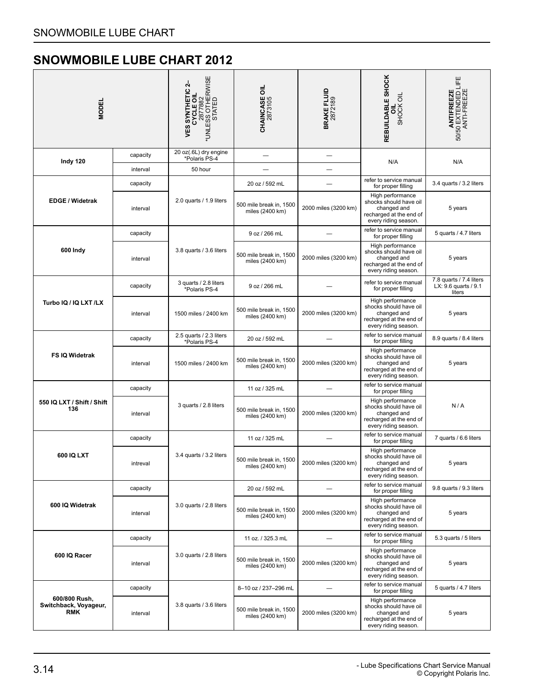<span id="page-15-0"></span>

| <b>MODEL</b>                                         |          | *UNLESS OTHERWISE<br>STATED<br>STATED<br>4<br><b>VES SYNTHETIC</b><br>CYCLE OIL | <b>CHAINCASE OIL</b><br>2873105            | <b>BRAKE FLUID</b><br>2872189 | REBUILDABLE SHOCK<br>SHOCK OIL                                                                               | <b>ANTIFREEZE</b><br>50/50 EXTENDED LIFE<br>ANTI-FREEZE   |
|------------------------------------------------------|----------|---------------------------------------------------------------------------------|--------------------------------------------|-------------------------------|--------------------------------------------------------------------------------------------------------------|-----------------------------------------------------------|
| Indy 120                                             | capacity | 20 oz(.6L) dry engine<br>*Polaris PS-4                                          |                                            |                               | N/A                                                                                                          | N/A                                                       |
|                                                      | interval | 50 hour                                                                         |                                            |                               |                                                                                                              |                                                           |
|                                                      | capacity |                                                                                 | 20 oz / 592 mL                             |                               | refer to service manual<br>for proper filling                                                                | 3.4 quarts / 3.2 liters                                   |
| <b>EDGE / Widetrak</b>                               | interval | 2.0 quarts / 1.9 liters                                                         | 500 mile break in, 1500<br>miles (2400 km) | 2000 miles (3200 km)          | High performance<br>shocks should have oil<br>changed and<br>recharged at the end of<br>every riding season. | 5 years                                                   |
|                                                      | capacity |                                                                                 | 9 oz / 266 mL                              |                               | refer to service manual<br>for proper filling                                                                | 5 quarts / 4.7 liters                                     |
| 600 Indy                                             | interval | 3.8 quarts / 3.6 liters                                                         | 500 mile break in, 1500<br>miles (2400 km) | 2000 miles (3200 km)          | High performance<br>shocks should have oil<br>changed and<br>recharged at the end of<br>every riding season. | 5 years                                                   |
|                                                      | capacity | 3 quarts / 2.8 liters<br>*Polaris PS-4                                          | 9 oz / 266 mL                              |                               | refer to service manual<br>for proper filling                                                                | 7.8 quarts / 7.4 liters<br>LX: 9.6 quarts / 9.1<br>liters |
| Turbo IQ / IQ LXT /LX                                | interval | 1500 miles / 2400 km                                                            | 500 mile break in, 1500<br>miles (2400 km) | 2000 miles (3200 km)          | High performance<br>shocks should have oil<br>changed and<br>recharged at the end of<br>every riding season. | 5 years                                                   |
|                                                      | capacity | 2.5 quarts / 2.3 liters<br>*Polaris PS-4                                        | 20 oz / 592 mL                             |                               | refer to service manual<br>for proper filling                                                                | 8.9 quarts / 8.4 liters                                   |
| FS IQ Widetrak                                       | interval | 1500 miles / 2400 km                                                            | 500 mile break in, 1500<br>miles (2400 km) | 2000 miles (3200 km)          | High performance<br>shocks should have oil<br>changed and<br>recharged at the end of<br>every riding season. | 5 years                                                   |
|                                                      | capacity |                                                                                 | 11 oz / 325 mL                             |                               | refer to service manual<br>for proper filling                                                                |                                                           |
| 550 IQ LXT / Shift / Shift<br>136                    | interval | 3 quarts / 2.8 liters                                                           | 500 mile break in, 1500<br>miles (2400 km) | 2000 miles (3200 km)          | High performance<br>shocks should have oil<br>changed and<br>recharged at the end of<br>every riding season. | N/A                                                       |
|                                                      | capacity |                                                                                 | 11 oz / 325 mL                             |                               | refer to service manual<br>for proper filling                                                                | 7 quarts / 6.6 liters                                     |
| 600 IQ LXT                                           | intreval | 3.4 quarts / 3.2 liters                                                         | 500 mile break in, 1500<br>miles (2400 km) | 2000 miles (3200 km)          | High performance<br>shocks should have oil<br>changed and<br>recharged at the end of<br>every riding season. | 5 years                                                   |
|                                                      | capacity |                                                                                 | 20 oz / 592 mL                             |                               | refer to service manual<br>for proper filling                                                                | 9.8 quarts / 9.3 liters                                   |
| 600 IQ Widetrak                                      | interval | 3.0 quarts / 2.8 liters                                                         | 500 mile break in, 1500<br>miles (2400 km) | 2000 miles (3200 km)          | High performance<br>shocks should have oil<br>changed and<br>recharged at the end of<br>every riding season. | 5 years                                                   |
|                                                      | capacity |                                                                                 | 11 oz. / 325.3 mL                          |                               | refer to service manual<br>for proper filling                                                                | 5.3 quarts / 5 liters                                     |
| 600 IQ Racer                                         | interval | 3.0 quarts / 2.8 liters                                                         | 500 mile break in, 1500<br>miles (2400 km) | 2000 miles (3200 km)          | High performance<br>shocks should have oil<br>changed and<br>recharged at the end of<br>every riding season. | 5 years                                                   |
|                                                      | capacity |                                                                                 | 8-10 oz / 237-296 mL                       |                               | refer to service manual<br>for proper filling                                                                | 5 quarts / 4.7 liters                                     |
| 600/800 Rush,<br>Switchback, Voyageur,<br><b>RMK</b> | interval | 3.8 quarts / 3.6 liters                                                         | 500 mile break in, 1500<br>miles (2400 km) | 2000 miles (3200 km)          | High performance<br>shocks should have oil<br>changed and<br>recharged at the end of<br>every riding season. | 5 years                                                   |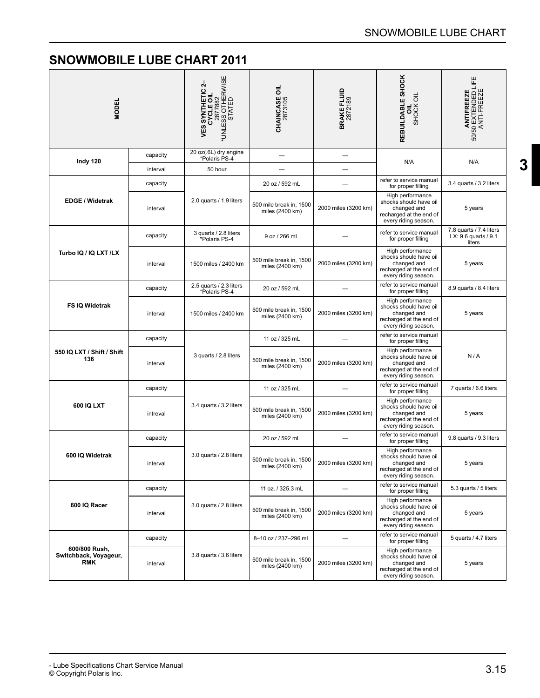<span id="page-16-0"></span>

| <b>MODEL</b>                                         |          | *UNLESS OTHERWISE<br>*UNLESS OTHERWISE<br>STATED<br>4<br><b>VES SYNTHETIC</b><br>CYCLE OIL | <b>CHAINCASE OIL</b><br>2873105            | <b>BRAKE FLUID</b><br>2872189 | REBUILDABLE SHOCK<br>SHOCK OIL                                                                               | <b>ANTIFREEZE</b><br>50/50 EXTENDED LIFE<br>ANTI-FREEZE       |
|------------------------------------------------------|----------|--------------------------------------------------------------------------------------------|--------------------------------------------|-------------------------------|--------------------------------------------------------------------------------------------------------------|---------------------------------------------------------------|
| Indy 120                                             | capacity | 20 oz(.6L) dry engine<br>*Polaris PS-4                                                     |                                            |                               | N/A                                                                                                          | N/A                                                           |
|                                                      | interval | 50 hour                                                                                    |                                            |                               |                                                                                                              |                                                               |
|                                                      | capacity |                                                                                            | 20 oz / 592 mL                             |                               | refer to service manual<br>for proper filling                                                                | 3.4 quarts / 3.2 liters                                       |
| <b>EDGE / Widetrak</b>                               | interval | 2.0 quarts / 1.9 liters                                                                    | 500 mile break in, 1500<br>miles (2400 km) | 2000 miles (3200 km)          | High performance<br>shocks should have oil<br>changed and<br>recharged at the end of<br>every riding season. | 5 years                                                       |
|                                                      | capacity | 3 quarts / 2.8 liters<br>*Polaris PS-4                                                     | 9 oz / 266 mL                              |                               | refer to service manual<br>for proper filling                                                                | 7.8 quarts / 7.4 liters<br>LX: $9.6$ quarts / $9.1$<br>liters |
| Turbo IQ / IQ LXT /LX                                | interval | 1500 miles / 2400 km                                                                       | 500 mile break in, 1500<br>miles (2400 km) | 2000 miles (3200 km)          | High performance<br>shocks should have oil<br>changed and<br>recharged at the end of<br>every riding season. | 5 years                                                       |
|                                                      | capacity | 2.5 quarts / 2.3 liters<br>*Polaris PS-4                                                   | 20 oz / 592 mL                             |                               | refer to service manual<br>for proper filling                                                                | 8.9 quarts / 8.4 liters                                       |
| FS IQ Widetrak                                       | interval | 1500 miles / 2400 km                                                                       | 500 mile break in, 1500<br>miles (2400 km) | 2000 miles (3200 km)          | High performance<br>shocks should have oil<br>changed and<br>recharged at the end of<br>every riding season. | 5 years                                                       |
|                                                      | capacity | 3 quarts / 2.8 liters                                                                      | 11 oz / 325 mL                             |                               | refer to service manual<br>for proper filling                                                                |                                                               |
| 550 IQ LXT / Shift / Shift<br>136                    | interval |                                                                                            | 500 mile break in, 1500<br>miles (2400 km) | 2000 miles (3200 km)          | High performance<br>shocks should have oil<br>changed and<br>recharged at the end of<br>every riding season. | N/A                                                           |
|                                                      | capacity |                                                                                            | 11 oz / 325 mL                             |                               | refer to service manual<br>for proper filling                                                                | 7 quarts / 6.6 liters                                         |
| 600 IQ LXT                                           | intreval | 3.4 quarts / 3.2 liters                                                                    | 500 mile break in, 1500<br>miles (2400 km) | 2000 miles (3200 km)          | High performance<br>shocks should have oil<br>changed and<br>recharged at the end of<br>every riding season. | 5 years                                                       |
|                                                      | capacity |                                                                                            | 20 oz / 592 mL                             |                               | refer to service manual<br>for proper filling                                                                | 9.8 quarts / 9.3 liters                                       |
| 600 IQ Widetrak                                      | interval | 3.0 quarts / 2.8 liters                                                                    | 500 mile break in, 1500<br>miles (2400 km) | 2000 miles (3200 km)          | High performance<br>shocks should have oil<br>changed and<br>recharged at the end of<br>every riding season. | 5 years                                                       |
|                                                      | capacity |                                                                                            | 11 oz. / 325.3 mL                          |                               | refer to service manual<br>for proper filling                                                                | 5.3 quarts / 5 liters                                         |
| 600 IQ Racer                                         | interval | 3.0 quarts / 2.8 liters                                                                    | 500 mile break in, 1500<br>miles (2400 km) | 2000 miles (3200 km)          | High performance<br>shocks should have oil<br>changed and<br>recharged at the end of<br>every riding season. | 5 years                                                       |
|                                                      | capacity |                                                                                            | 8-10 oz / 237-296 mL                       |                               | refer to service manual<br>for proper filling                                                                | 5 quarts / 4.7 liters                                         |
| 600/800 Rush,<br>Switchback, Voyageur,<br><b>RMK</b> | interval | 3.8 quarts / 3.6 liters                                                                    | 500 mile break in, 1500<br>miles (2400 km) | 2000 miles (3200 km)          | High performance<br>shocks should have oil<br>changed and<br>recharged at the end of<br>every riding season. | 5 years                                                       |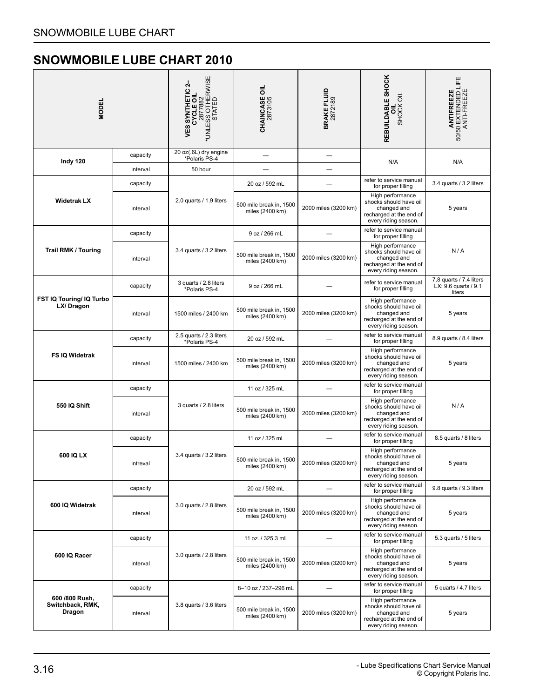<span id="page-17-0"></span>

| <b>MODEL</b>                                 |          | *UNLESS OTHERWISE<br>*UNLESS OTHERWISE<br>STATED<br>4<br><b>VES SYNTHETIC</b><br>CYCLE OIL | <b>CHAINCASE OIL</b><br>2873105            | <b>BRAKE FLUID</b><br>2872189 | REBUILDABLE SHOCK<br>SHOCK OIL<br>ᇹ                                                                          | <b>ANTIFREEZE</b><br>50/50 EXTENDED LIFE<br>ANTI-FREEZE   |
|----------------------------------------------|----------|--------------------------------------------------------------------------------------------|--------------------------------------------|-------------------------------|--------------------------------------------------------------------------------------------------------------|-----------------------------------------------------------|
| Indy 120                                     | capacity | 20 oz(.6L) dry engine<br>*Polaris PS-4                                                     |                                            | ÷                             | N/A                                                                                                          | N/A                                                       |
|                                              | interval | 50 hour                                                                                    |                                            |                               |                                                                                                              |                                                           |
|                                              | capacity |                                                                                            | 20 oz / 592 mL                             |                               | refer to service manual<br>for proper filling                                                                | 3.4 quarts / 3.2 liters                                   |
| <b>Widetrak LX</b>                           | interval | 2.0 quarts / 1.9 liters                                                                    | 500 mile break in, 1500<br>miles (2400 km) | 2000 miles (3200 km)          | High performance<br>shocks should have oil<br>changed and<br>recharged at the end of<br>every riding season. | 5 years                                                   |
|                                              | capacity |                                                                                            | 9 oz / 266 mL                              |                               | refer to service manual<br>for proper filling                                                                |                                                           |
| <b>Trail RMK / Touring</b>                   | interval | 3.4 quarts / 3.2 liters                                                                    | 500 mile break in, 1500<br>miles (2400 km) | 2000 miles (3200 km)          | High performance<br>shocks should have oil<br>changed and<br>recharged at the end of<br>every riding season. | N/A                                                       |
|                                              | capacity | 3 quarts / 2.8 liters<br>*Polaris PS-4                                                     | 9 oz / 266 mL                              |                               | refer to service manual<br>for proper filling                                                                | 7.8 quarts / 7.4 liters<br>LX: 9.6 quarts / 9.1<br>liters |
| FST IQ Touring/ IQ Turbo<br>LX/Dragon        | interval | 1500 miles / 2400 km                                                                       | 500 mile break in, 1500<br>miles (2400 km) | 2000 miles (3200 km)          | High performance<br>shocks should have oil<br>changed and<br>recharged at the end of<br>every riding season. | 5 years                                                   |
|                                              | capacity | 2.5 quarts / 2.3 liters<br>*Polaris PS-4                                                   | 20 oz / 592 mL                             |                               | refer to service manual<br>for proper filling                                                                | 8.9 quarts / 8.4 liters                                   |
| FS IQ Widetrak                               | interval | 1500 miles / 2400 km                                                                       | 500 mile break in, 1500<br>miles (2400 km) | 2000 miles (3200 km)          | High performance<br>shocks should have oil<br>changed and<br>recharged at the end of<br>every riding season. | 5 years                                                   |
|                                              | capacity |                                                                                            | 11 oz / 325 mL                             |                               | refer to service manual<br>for proper filling                                                                |                                                           |
| 550 IQ Shift                                 | interval | 3 quarts / 2.8 liters                                                                      | 500 mile break in, 1500<br>miles (2400 km) | 2000 miles (3200 km)          | High performance<br>shocks should have oil<br>changed and<br>recharged at the end of<br>every riding season. | N/A                                                       |
|                                              | capacity |                                                                                            | 11 oz / 325 mL                             |                               | refer to service manual<br>for proper filling                                                                | 8.5 quarts / 8 liters                                     |
| 600 IQ LX                                    | intreval | 3.4 quarts / 3.2 liters                                                                    | 500 mile break in, 1500<br>miles (2400 km) | 2000 miles (3200 km)          | High performance<br>shocks should have oil<br>changed and<br>recharged at the end of<br>every riding season. | 5 years                                                   |
|                                              | capacity |                                                                                            | 20 oz / 592 mL                             |                               | refer to service manual<br>for proper filling                                                                | 9.8 quarts / 9.3 liters                                   |
| 600 IQ Widetrak                              | interval | 3.0 quarts / 2.8 liters                                                                    | 500 mile break in, 1500<br>miles (2400 km) | 2000 miles (3200 km)          | High performance<br>shocks should have oil<br>changed and<br>recharged at the end of<br>every riding season. | 5 years                                                   |
|                                              | capacity |                                                                                            | 11 oz. / 325.3 mL                          |                               | refer to service manual<br>for proper filling                                                                | 5.3 quarts / 5 liters                                     |
| 600 IQ Racer                                 | interval | 3.0 quarts / 2.8 liters                                                                    | 500 mile break in, 1500<br>miles (2400 km) | 2000 miles (3200 km)          | High performance<br>shocks should have oil<br>changed and<br>recharged at the end of<br>every riding season. | 5 years                                                   |
|                                              | capacity |                                                                                            | 8-10 oz / 237-296 mL                       |                               | refer to service manual<br>for proper filling                                                                | 5 quarts / 4.7 liters                                     |
| 600 /800 Rush,<br>Switchback, RMK,<br>Dragon | interval | 3.8 quarts / 3.6 liters                                                                    | 500 mile break in, 1500<br>miles (2400 km) | 2000 miles (3200 km)          | High performance<br>shocks should have oil<br>changed and<br>recharged at the end of<br>every riding season. | 5 years                                                   |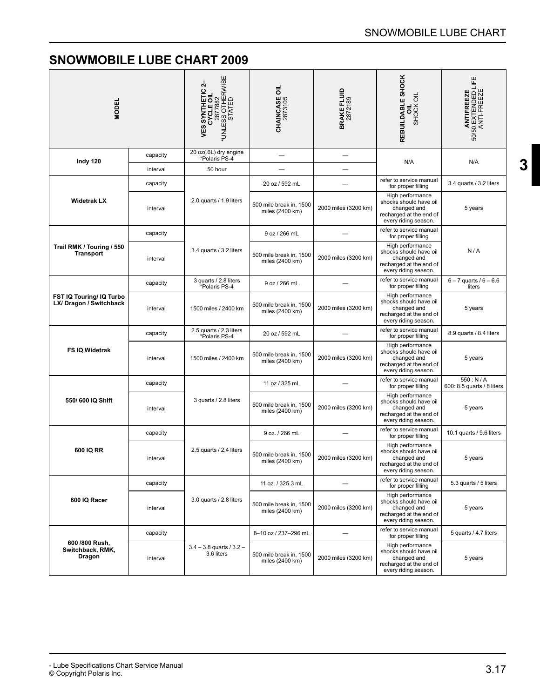<span id="page-18-0"></span>

| <b>MODEL</b>                                        |          | VES SYNTHETIC 2-<br>CYCLE OIL<br>2877882<br>*UNLESS OTHERWISE<br>*UNLESS OTHERWISE | <b>CHAINCASE OIL</b><br>2873105            | <b>BRAKE FLUID</b><br>2872189 | REBUILDABLE SHOCK<br>SHOCK OIL<br>ᇹ                                                                          | ANTIFREEZE<br>50/50 EXTENDED LIFE<br>ANTI-FREEZE |
|-----------------------------------------------------|----------|------------------------------------------------------------------------------------|--------------------------------------------|-------------------------------|--------------------------------------------------------------------------------------------------------------|--------------------------------------------------|
| Indy 120                                            | capacity | 20 oz(.6L) dry engine<br>*Polaris PS-4                                             |                                            |                               | N/A                                                                                                          | N/A                                              |
|                                                     | interval | 50 hour                                                                            |                                            |                               |                                                                                                              |                                                  |
|                                                     | capacity |                                                                                    | 20 oz / 592 mL                             |                               | refer to service manual<br>for proper filling                                                                | 3.4 quarts / 3.2 liters                          |
| <b>Widetrak LX</b>                                  | interval | 2.0 quarts / 1.9 liters                                                            | 500 mile break in, 1500<br>miles (2400 km) | 2000 miles (3200 km)          | High performance<br>shocks should have oil<br>changed and<br>recharged at the end of<br>every riding season. | 5 years                                          |
|                                                     | capacity |                                                                                    | 9 oz / 266 mL                              |                               | refer to service manual<br>for proper filling                                                                |                                                  |
| Trail RMK / Touring / 550<br><b>Transport</b>       | interval | 3.4 quarts / 3.2 liters                                                            | 500 mile break in, 1500<br>miles (2400 km) | 2000 miles (3200 km)          | High performance<br>shocks should have oil<br>changed and<br>recharged at the end of<br>every riding season. | N/A                                              |
| FST IQ Touring/ IQ Turbo<br>LX/ Dragon / Switchback | capacity | 3 quarts / 2.8 liters<br>Polaris PS-4*                                             | 9 oz / 266 mL                              |                               | refer to service manual<br>for proper filling                                                                | $6 - 7$ quarts / $6 - 6.6$<br>liters             |
|                                                     | interval | 1500 miles / 2400 km                                                               | 500 mile break in, 1500<br>miles (2400 km) | 2000 miles (3200 km)          | High performance<br>shocks should have oil<br>changed and<br>recharged at the end of<br>every riding season. | 5 years                                          |
|                                                     | capacity | 2.5 quarts / 2.3 liters<br>*Polaris PS-4                                           | 20 oz / 592 mL                             |                               | refer to service manual<br>for proper filling                                                                | 8.9 quarts / 8.4 liters                          |
| FS IQ Widetrak                                      | interval | 1500 miles / 2400 km                                                               | 500 mile break in, 1500<br>miles (2400 km) | 2000 miles (3200 km)          | High performance<br>shocks should have oil<br>changed and<br>recharged at the end of<br>every riding season. | 5 years                                          |
|                                                     | capacity |                                                                                    | 11 oz / 325 mL                             |                               | refer to service manual<br>for proper filling                                                                | 550: N/A<br>600: 8.5 quarts / 8 liters           |
| 550/600 IQ Shift                                    | interval | 3 quarts / 2.8 liters                                                              | 500 mile break in, 1500<br>miles (2400 km) | 2000 miles (3200 km)          | High performance<br>shocks should have oil<br>changed and<br>recharged at the end of<br>every riding season. | 5 years                                          |
|                                                     | capacity |                                                                                    | 9 oz. / 266 mL                             |                               | refer to service manual<br>for proper filling                                                                | 10.1 quarts / 9.6 liters                         |
| 600 IQ RR                                           | interval | 2.5 quarts / 2.4 liters                                                            | 500 mile break in, 1500<br>miles (2400 km) | 2000 miles (3200 km)          | High performance<br>shocks should have oil<br>changed and<br>recharged at the end of<br>every riding season. | 5 years                                          |
|                                                     | capacity |                                                                                    | 11 oz. / 325.3 mL                          |                               | refer to service manual<br>for proper filling                                                                | 5.3 quarts / 5 liters                            |
| 600 IQ Racer                                        | interval | 3.0 quarts / 2.8 liters                                                            | 500 mile break in, 1500<br>miles (2400 km) | 2000 miles (3200 km)          | High performance<br>shocks should have oil<br>changed and<br>recharged at the end of<br>every riding season. | 5 years                                          |
|                                                     | capacity |                                                                                    | 8-10 oz / 237-296 mL                       |                               | refer to service manual<br>for proper filling                                                                | 5 quarts / 4.7 liters                            |
| 600 /800 Rush,<br>Switchback, RMK,<br>Dragon        | interval | $3.4 - 3.8$ quarts / $3.2 -$<br>3.6 liters                                         | 500 mile break in, 1500<br>miles (2400 km) | 2000 miles (3200 km)          | High performance<br>shocks should have oil<br>changed and<br>recharged at the end of<br>every riding season. | 5 years                                          |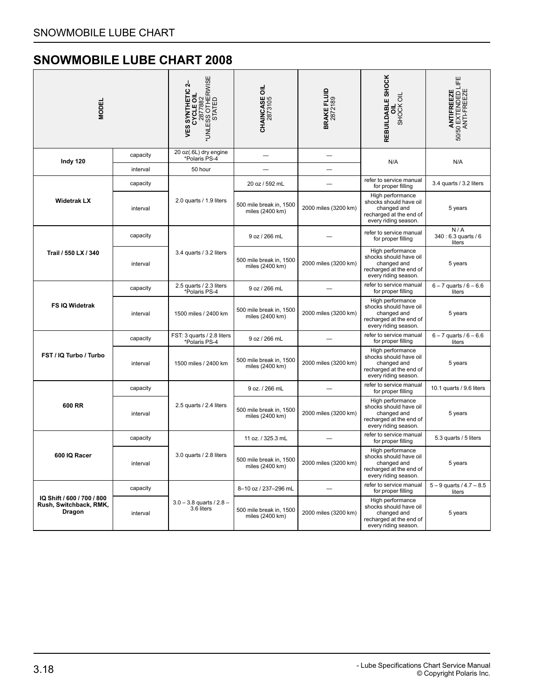<span id="page-19-0"></span>

| <b>MODEL</b>                                                          |          | *UNLESS OTHERWISE<br>*UNLESS OTHERWISE<br>STATED<br>4<br><b>VES SYNTHETIC</b><br>CYCLE OIL | <b>CHAINCASE OIL</b><br>2873105            | <b>BRAKE FLUID</b><br>2872189 | REBUILDABLE SHOCK<br>SHOCK OIL<br>ō                                                                          | <b>ANTIFREEZE</b><br>50/50 EXTENDED LIFE<br>ANTI-FREEZE |
|-----------------------------------------------------------------------|----------|--------------------------------------------------------------------------------------------|--------------------------------------------|-------------------------------|--------------------------------------------------------------------------------------------------------------|---------------------------------------------------------|
| Indy 120                                                              | capacity | 20 oz(.6L) dry engine<br>*Polaris PS-4                                                     |                                            |                               |                                                                                                              |                                                         |
|                                                                       | interval | 50 hour                                                                                    |                                            |                               | N/A                                                                                                          | N/A                                                     |
|                                                                       | capacity |                                                                                            | 20 oz / 592 mL                             |                               | refer to service manual<br>for proper filling                                                                | 3.4 quarts / 3.2 liters                                 |
| <b>Widetrak LX</b>                                                    | interval | 2.0 quarts / 1.9 liters                                                                    | 500 mile break in, 1500<br>miles (2400 km) | 2000 miles (3200 km)          | High performance<br>shocks should have oil<br>changed and<br>recharged at the end of<br>every riding season. | 5 years                                                 |
|                                                                       | capacity | 3.4 quarts / 3.2 liters                                                                    | 9 oz / 266 mL                              |                               | refer to service manual<br>for proper filling                                                                | N/A<br>340 : 6.3 quarts / 6<br>liters                   |
| Trail / 550 LX / 340                                                  | interval |                                                                                            | 500 mile break in, 1500<br>miles (2400 km) | 2000 miles (3200 km)          | High performance<br>shocks should have oil<br>changed and<br>recharged at the end of<br>every riding season. | 5 years                                                 |
|                                                                       | capacity | 2.5 quarts / 2.3 liters<br>*Polaris PS-4                                                   | 9 oz / 266 mL                              |                               | refer to service manual<br>for proper filling                                                                | $6 - 7$ quarts / $6 - 6.6$<br>liters                    |
| FS IQ Widetrak                                                        | interval | 1500 miles / 2400 km                                                                       | 500 mile break in, 1500<br>miles (2400 km) | 2000 miles (3200 km)          | High performance<br>shocks should have oil<br>changed and<br>recharged at the end of<br>every riding season. | 5 years                                                 |
|                                                                       | capacity | FST: 3 quarts / 2.8 liters<br>*Polaris PS-4                                                | 9 oz / 266 mL                              |                               | refer to service manual<br>for proper filling                                                                | $6 - 7$ quarts / $6 - 6.6$<br>liters                    |
| FST / IQ Turbo / Turbo                                                | interval | 1500 miles / 2400 km                                                                       | 500 mile break in, 1500<br>miles (2400 km) | 2000 miles (3200 km)          | High performance<br>shocks should have oil<br>changed and<br>recharged at the end of<br>every riding season. | 5 years                                                 |
|                                                                       | capacity |                                                                                            | 9 oz. / 266 mL                             |                               | refer to service manual<br>for proper filling                                                                | 10.1 quarts / 9.6 liters                                |
| 600 RR                                                                | interval | 2.5 quarts / 2.4 liters                                                                    | 500 mile break in, 1500<br>miles (2400 km) | 2000 miles (3200 km)          | High performance<br>shocks should have oil<br>changed and<br>recharged at the end of<br>every riding season. | 5 years                                                 |
|                                                                       | capacity |                                                                                            | 11 oz. / 325.3 mL                          |                               | refer to service manual<br>for proper filling                                                                | 5.3 quarts / 5 liters                                   |
| 600 IQ Racer                                                          | interval | 3.0 quarts / 2.8 liters                                                                    | 500 mile break in, 1500<br>miles (2400 km) | 2000 miles (3200 km)          | High performance<br>shocks should have oil<br>changed and<br>recharged at the end of<br>every riding season. | 5 years                                                 |
|                                                                       | capacity |                                                                                            | 8-10 oz / 237-296 mL                       | $\overline{\phantom{a}}$      | refer to service manual<br>for proper filling                                                                | $5 - 9$ quarts / 4.7 $- 8.5$<br>liters                  |
| IQ Shift / 600 / 700 / 800<br>Rush, Switchback, RMK,<br><b>Dragon</b> | interval | $3.0 - 3.8$ quarts / $2.8 -$<br>3.6 liters                                                 | 500 mile break in, 1500<br>miles (2400 km) | 2000 miles (3200 km)          | High performance<br>shocks should have oil<br>changed and<br>recharged at the end of<br>every riding season. | 5 years                                                 |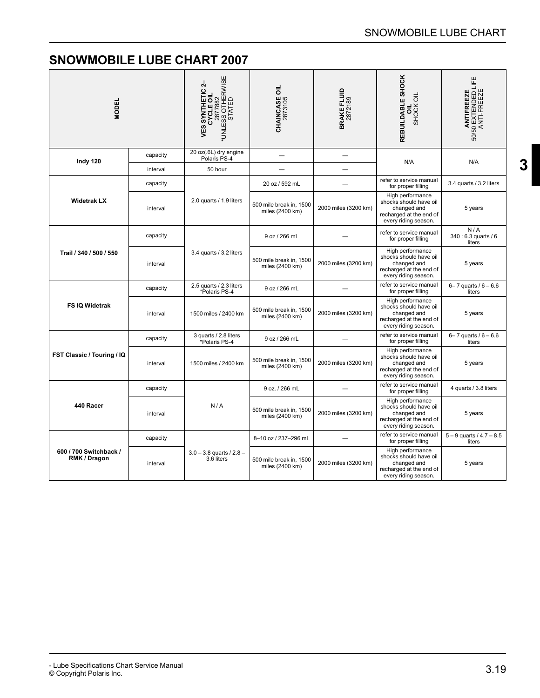<span id="page-20-0"></span>

| <b>MODEL</b>                           |          | <b>VES SYNTHETIC 2-<br/>CYCLE OIL</b><br>2877882<br>*UNLESS OTHERWISE<br>*UNLESS OTHERWISE | <b>CHAINCASE OIL</b><br>2873105            | <b>BRAKE FLUID</b><br>2872189 | REBUILDABLE SHOCK<br>SHOCK OIL                                                                               | <b>ANTIFREEZE</b><br>50/50 EXTENDED LIFE<br>ANTI-FREEZE |
|----------------------------------------|----------|--------------------------------------------------------------------------------------------|--------------------------------------------|-------------------------------|--------------------------------------------------------------------------------------------------------------|---------------------------------------------------------|
| Indy 120                               | capacity | 20 oz(.6L) dry engine<br>Polaris PS-4                                                      |                                            |                               | N/A                                                                                                          | N/A                                                     |
|                                        | interval | 50 hour                                                                                    |                                            | ٠                             |                                                                                                              |                                                         |
|                                        | capacity |                                                                                            | 20 oz / 592 mL                             |                               | refer to service manual<br>for proper filling                                                                | 3.4 quarts / 3.2 liters                                 |
| <b>Widetrak LX</b>                     | interval | 2.0 quarts / 1.9 liters                                                                    | 500 mile break in, 1500<br>miles (2400 km) | 2000 miles (3200 km)          | High performance<br>shocks should have oil<br>changed and<br>recharged at the end of<br>every riding season. | 5 years                                                 |
| Trail / 340 / 500 / 550                | capacity |                                                                                            | 9 oz / 266 mL                              |                               | refer to service manual<br>for proper filling                                                                | N/A<br>340 : 6.3 quarts / 6<br>liters                   |
|                                        | interval | 3.4 quarts / 3.2 liters                                                                    | 500 mile break in, 1500<br>miles (2400 km) | 2000 miles (3200 km)          | High performance<br>shocks should have oil<br>changed and<br>recharged at the end of<br>every riding season. | 5 years                                                 |
|                                        | capacity | 2.5 quarts / 2.3 liters<br>*Polaris PS-4                                                   | 9 oz / 266 mL                              |                               | refer to service manual<br>for proper filling                                                                | $6 - 7$ quarts / $6 - 6.6$<br>liters                    |
| <b>FS IQ Widetrak</b>                  | interval | 1500 miles / 2400 km                                                                       | 500 mile break in, 1500<br>miles (2400 km) | 2000 miles (3200 km)          | High performance<br>shocks should have oil<br>changed and<br>recharged at the end of<br>every riding season. | 5 years                                                 |
|                                        | capacity | 3 quarts / 2.8 liters<br>*Polaris PS-4                                                     | 9 oz / 266 mL                              |                               | refer to service manual<br>for proper filling                                                                | $6 - 7$ quarts / $6 - 6.6$<br>liters                    |
| FST Classic / Touring / IQ             | interval | 1500 miles / 2400 km                                                                       | 500 mile break in, 1500<br>miles (2400 km) | 2000 miles (3200 km)          | High performance<br>shocks should have oil<br>changed and<br>recharged at the end of<br>every riding season. | 5 years                                                 |
|                                        | capacity |                                                                                            | 9 oz. / 266 mL                             |                               | refer to service manual<br>for proper filling                                                                | 4 quarts / 3.8 liters                                   |
| 440 Racer                              | interval | N/A                                                                                        | 500 mile break in, 1500<br>miles (2400 km) | 2000 miles (3200 km)          | High performance<br>shocks should have oil<br>changed and<br>recharged at the end of<br>every riding season. | 5 years                                                 |
|                                        | capacity |                                                                                            | 8-10 oz / 237-296 mL                       |                               | refer to service manual<br>for proper filling                                                                | $5 - 9$ quarts / 4.7 - 8.5<br>liters                    |
| 600 / 700 Switchback /<br>RMK / Dragon | interval | $3.0 - 3.8$ quarts $/ 2.8 -$<br>3.6 liters                                                 | 500 mile break in, 1500<br>miles (2400 km) | 2000 miles (3200 km)          | High performance<br>shocks should have oil<br>changed and<br>recharged at the end of<br>every riding season. | 5 years                                                 |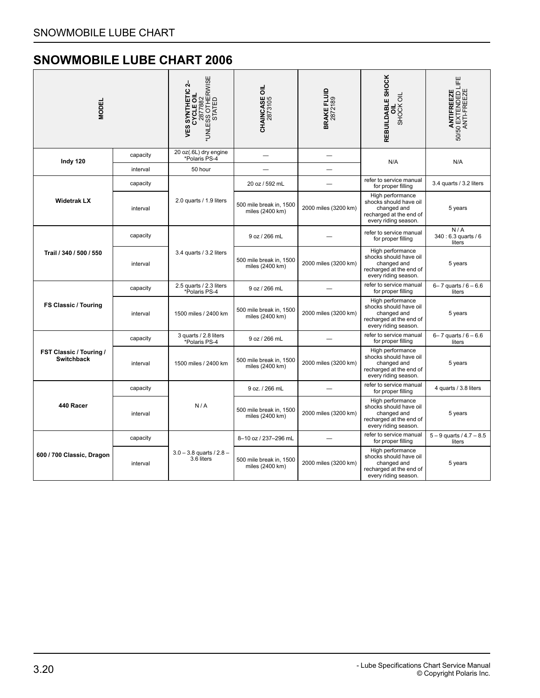<span id="page-21-0"></span>

| <b>MODEL</b>                                 |          | *UNLESS OTHERWISE<br>*UNLESS OTHERWISE<br>STATED<br>4<br><b>VES SYNTHETIC</b><br>CYCLE OIL | <b>CHAINCASE OIL</b><br>2873105            | <b>BRAKE FLUID</b><br>2872189 | REBUILDABLE SHOCK<br>SHOCK OIL<br>ᄛ                                                                          | <b>ANTIFREEZE</b><br>50/50 EXTENDED LIFE<br>ANTI-FREEZE |
|----------------------------------------------|----------|--------------------------------------------------------------------------------------------|--------------------------------------------|-------------------------------|--------------------------------------------------------------------------------------------------------------|---------------------------------------------------------|
| Indy 120                                     | capacity | 20 oz(.6L) dry engine<br>*Polaris PS-4                                                     |                                            |                               | N/A                                                                                                          | N/A                                                     |
|                                              | interval | 50 hour                                                                                    |                                            |                               |                                                                                                              |                                                         |
|                                              | capacity |                                                                                            | 20 oz / 592 mL                             |                               | refer to service manual<br>for proper filling                                                                | 3.4 quarts / 3.2 liters                                 |
| <b>Widetrak LX</b>                           | interval | 2.0 quarts / 1.9 liters                                                                    | 500 mile break in, 1500<br>miles (2400 km) | 2000 miles (3200 km)          | High performance<br>shocks should have oil<br>changed and<br>recharged at the end of<br>every riding season. | 5 years                                                 |
| Trail / 340 / 500 / 550                      | capacity | 3.4 quarts / 3.2 liters                                                                    | 9 oz / 266 mL                              |                               | refer to service manual<br>for proper filling                                                                | N/A<br>340 : 6.3 quarts / 6<br>liters                   |
|                                              | interval |                                                                                            | 500 mile break in, 1500<br>miles (2400 km) | 2000 miles (3200 km)          | High performance<br>shocks should have oil<br>changed and<br>recharged at the end of<br>every riding season. | 5 years                                                 |
|                                              | capacity | 2.5 quarts / 2.3 liters<br>*Polaris PS-4                                                   | 9 oz / 266 mL                              |                               | refer to service manual<br>for proper filling                                                                | $6 - 7$ quarts / $6 - 6.6$<br>liters                    |
| <b>FS Classic / Touring</b>                  | interval | 1500 miles / 2400 km                                                                       | 500 mile break in, 1500<br>miles (2400 km) | 2000 miles (3200 km)          | High performance<br>shocks should have oil<br>changed and<br>recharged at the end of<br>every riding season. | 5 years                                                 |
|                                              | capacity | 3 quarts / 2.8 liters<br>*Polaris PS-4                                                     | 9 oz / 266 mL                              |                               | refer to service manual<br>for proper filling                                                                | $6 - 7$ quarts / $6 - 6.6$<br>liters                    |
| FST Classic / Touring /<br><b>Switchback</b> | interval | 1500 miles / 2400 km                                                                       | 500 mile break in, 1500<br>miles (2400 km) | 2000 miles (3200 km)          | High performance<br>shocks should have oil<br>changed and<br>recharged at the end of<br>every riding season. | 5 years                                                 |
|                                              | capacity |                                                                                            | 9 oz. / 266 mL                             |                               | refer to service manual<br>for proper filling                                                                | 4 quarts / 3.8 liters                                   |
| 440 Racer                                    | interval | N/A                                                                                        | 500 mile break in, 1500<br>miles (2400 km) | 2000 miles (3200 km)          | High performance<br>shocks should have oil<br>changed and<br>recharged at the end of<br>every riding season. | 5 years                                                 |
|                                              | capacity |                                                                                            | 8-10 oz / 237-296 mL                       |                               | refer to service manual<br>for proper filling                                                                | $5 - 9$ quarts / 4.7 $- 8.5$<br>liters                  |
| 600 / 700 Classic, Dragon                    | interval | $3.0 - 3.8$ quarts / 2.8 -<br>3.6 liters                                                   | 500 mile break in, 1500<br>miles (2400 km) | 2000 miles (3200 km)          | High performance<br>shocks should have oil<br>changed and<br>recharged at the end of<br>every riding season. | 5 years                                                 |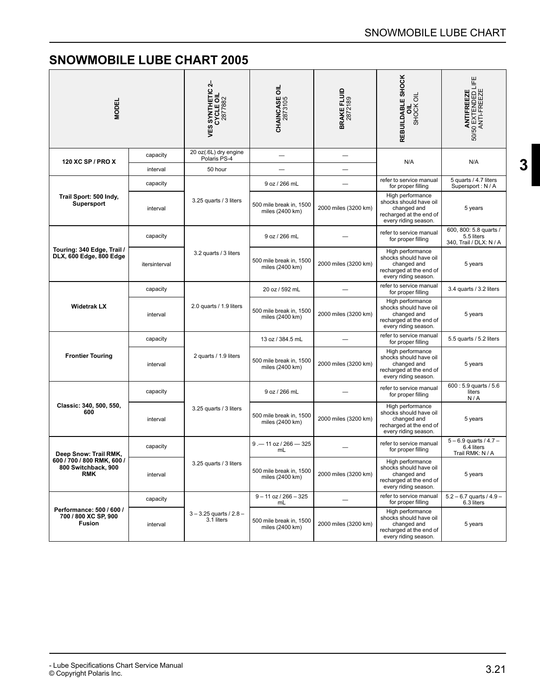<span id="page-22-0"></span>

| <b>MODEL</b>                                                      |               | 4<br><b>VES SYNTHETIC 2</b><br>CYCLE OIL<br>2877882 | <b>CHAINCASE OIL</b><br>2873105            | <b>BRAKE FLUID</b><br>2872189 | REBUILDABLE SHOCK<br>SHOCK OIL                                                                               | ANTIFREEZE<br>50/50 EXTENDED LIFE<br>ANTI-FREEZE                |
|-------------------------------------------------------------------|---------------|-----------------------------------------------------|--------------------------------------------|-------------------------------|--------------------------------------------------------------------------------------------------------------|-----------------------------------------------------------------|
|                                                                   | capacity      | 20 oz(.6L) dry engine<br>Polaris PS-4               |                                            |                               |                                                                                                              |                                                                 |
| 120 XC SP / PRO X                                                 | interval      | 50 hour                                             |                                            |                               | N/A                                                                                                          | N/A                                                             |
|                                                                   | capacity      |                                                     | 9 oz / 266 mL                              |                               | refer to service manual<br>for proper filling                                                                | 5 quarts / 4.7 liters<br>Supersport: N/A                        |
| Trail Sport: 500 Indy,<br><b>Supersport</b>                       | interval      | 3.25 quarts / 3 liters                              | 500 mile break in, 1500<br>miles (2400 km) | 2000 miles (3200 km)          | High performance<br>shocks should have oil<br>changed and<br>recharged at the end of<br>every riding season. | 5 years                                                         |
|                                                                   | capacity      |                                                     | 9 oz / 266 mL                              |                               | refer to service manual<br>for proper filling                                                                | 600, 800: 5.8 quarts /<br>5.5 liters<br>340, Trail / DLX: N / A |
| Touring: 340 Edge, Trail /<br>DLX, 600 Edge, 800 Edge             | itersinterval | 3.2 quarts / 3 liters                               | 500 mile break in, 1500<br>miles (2400 km) | 2000 miles (3200 km)          | High performance<br>shocks should have oil<br>changed and<br>recharged at the end of<br>every riding season. | 5 years                                                         |
|                                                                   | capacity      | 2.0 quarts / 1.9 liters                             | 20 oz / 592 mL                             |                               | refer to service manual<br>for proper filling                                                                | 3.4 quarts / 3.2 liters                                         |
| <b>Widetrak LX</b>                                                | interval      |                                                     | 500 mile break in, 1500<br>miles (2400 km) | 2000 miles (3200 km)          | High performance<br>shocks should have oil<br>changed and<br>recharged at the end of<br>every riding season. | 5 years                                                         |
|                                                                   | capacity      |                                                     | 13 oz / 384.5 mL                           |                               | refer to service manual<br>for proper filling                                                                | 5.5 quarts / 5.2 liters                                         |
| <b>Frontier Touring</b>                                           | interval      | 2 quarts / 1.9 liters                               | 500 mile break in, 1500<br>miles (2400 km) | 2000 miles (3200 km)          | High performance<br>shocks should have oil<br>changed and<br>recharged at the end of<br>every riding season. | 5 years                                                         |
|                                                                   | capacity      |                                                     | 9 oz / 266 mL                              |                               | refer to service manual<br>for proper filling                                                                | 600: 5.9 quarts / 5.6<br>liters<br>N/A                          |
| Classic: 340, 500, 550,<br>600                                    | interval      | 3.25 quarts / 3 liters                              | 500 mile break in, 1500<br>miles (2400 km) | 2000 miles (3200 km)          | High performance<br>shocks should have oil<br>changed and<br>recharged at the end of<br>every riding season. | 5 years                                                         |
| Deep Snow: Trail RMK,                                             | capacity      |                                                     | $9 - 11$ oz / 266 - 325<br>mL              |                               | refer to service manual<br>for proper filling                                                                | $5 - 6.9$ quarts / 4.7 -<br>6.4 liters<br>Trail RMK: N / A      |
| 600 / 700 / 800 RMK, 600 /<br>800 Switchback, 900<br><b>RMK</b>   | interval      | 3.25 quarts / 3 liters                              | 500 mile break in, 1500<br>miles (2400 km) | 2000 miles (3200 km)          | High performance<br>shocks should have oil<br>changed and<br>recharged at the end of<br>every riding season. | 5 years                                                         |
|                                                                   | capacity      |                                                     | $9 - 11$ oz / 266 $-325$<br>mL             | $\overline{\phantom{0}}$      | refer to service manual<br>for proper filling                                                                | $5.2 - 6.7$ quarts / 4.9 -<br>6.3 liters                        |
| Performance: 500 / 600 /<br>700 / 800 XC SP, 900<br><b>Fusion</b> | interval      | $3 - 3.25$ quarts / $2.8 -$<br>3.1 liters           | 500 mile break in, 1500<br>miles (2400 km) | 2000 miles (3200 km)          | High performance<br>shocks should have oil<br>changed and<br>recharged at the end of<br>every riding season. | 5 years                                                         |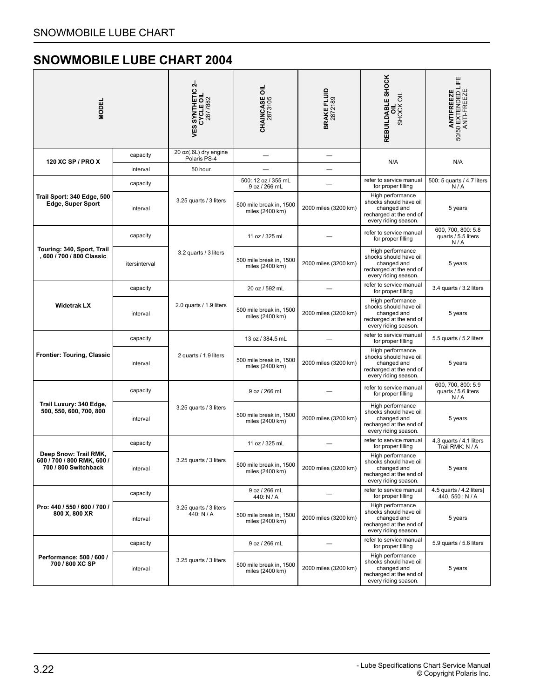<span id="page-23-0"></span>

| <b>MODEL</b>                                                                |               | 4<br><b>VES SYNTHETIC 2<br/>CYCLE OIL<br/>2877882</b> | <b>CHAINCASE OIL</b><br>2873105            | <b>BRAKE FLUID</b><br>2872189 | REBUILDABLE SHOCK<br>SHOCK OIL<br>ᇹ                                                                          | <b>ANTIFREEZE</b><br>50/50 EXTENDED LIFE<br>ANTI-FREEZE |
|-----------------------------------------------------------------------------|---------------|-------------------------------------------------------|--------------------------------------------|-------------------------------|--------------------------------------------------------------------------------------------------------------|---------------------------------------------------------|
| 120 XC SP / PRO X                                                           | capacity      | 20 oz(.6L) dry engine<br>Polaris PS-4                 |                                            |                               | N/A                                                                                                          | N/A                                                     |
|                                                                             | interval      | 50 hour                                               |                                            |                               |                                                                                                              |                                                         |
|                                                                             | capacity      |                                                       | 500: 12 oz / 355 mL<br>9 oz / 266 mL       |                               | refer to service manual<br>for proper filling                                                                | 500: 5 quarts / 4.7 liters<br>N/A                       |
| Trail Sport: 340 Edge, 500<br><b>Edge, Super Sport</b>                      | interval      | 3.25 quarts / 3 liters                                | 500 mile break in, 1500<br>miles (2400 km) | 2000 miles (3200 km)          | High performance<br>shocks should have oil<br>changed and<br>recharged at the end of<br>every riding season. | 5 years                                                 |
|                                                                             | capacity      |                                                       | 11 oz / 325 mL                             |                               | refer to service manual<br>for proper filling                                                                | 600, 700, 800: 5.8<br>quarts / 5.5 liters<br>N/A        |
| Touring: 340, Sport, Trail<br>, 600 / 700 / 800 Classic                     | itersinterval | 3.2 quarts / 3 liters                                 | 500 mile break in, 1500<br>miles (2400 km) | 2000 miles (3200 km)          | High performance<br>shocks should have oil<br>changed and<br>recharged at the end of<br>every riding season. | 5 years                                                 |
| <b>Widetrak LX</b>                                                          | capacity      |                                                       | 20 oz / 592 mL                             |                               | refer to service manual<br>for proper filling                                                                | 3.4 quarts / 3.2 liters                                 |
|                                                                             | interval      | 2.0 quarts / 1.9 liters                               | 500 mile break in, 1500<br>miles (2400 km) | 2000 miles (3200 km)          | High performance<br>shocks should have oil<br>changed and<br>recharged at the end of<br>every riding season. | 5 years                                                 |
| <b>Frontier: Touring, Classic</b>                                           | capacity      | 2 quarts / 1.9 liters                                 | 13 oz / 384.5 mL                           |                               | refer to service manual<br>for proper filling                                                                | 5.5 quarts / 5.2 liters                                 |
|                                                                             | interval      |                                                       | 500 mile break in, 1500<br>miles (2400 km) | 2000 miles (3200 km)          | High performance<br>shocks should have oil<br>changed and<br>recharged at the end of<br>every riding season. | 5 years                                                 |
|                                                                             | capacity      |                                                       | 9 oz / 266 mL                              |                               | refer to service manual<br>for proper filling                                                                | 600, 700, 800: 5.9<br>quarts / 5.6 liters<br>N/A        |
| Trail Luxury: 340 Edge,<br>500, 550, 600, 700, 800                          | interval      | 3.25 quarts / 3 liters                                | 500 mile break in, 1500<br>miles (2400 km) | 2000 miles (3200 km)          | High performance<br>shocks should have oil<br>changed and<br>recharged at the end of<br>every riding season. | 5 years                                                 |
|                                                                             | capacity      |                                                       | 11 oz / 325 mL                             |                               | refer to service manual<br>for proper filling                                                                | 4.3 quarts / 4.1 liters<br>Trail RMK: N / A             |
| Deep Snow: Trail RMK,<br>600 / 700 / 800 RMK, 600 /<br>700 / 800 Switchback | interval      | 3.25 quarts / 3 liters                                | 500 mile break in, 1500<br>miles (2400 km) | 2000 miles (3200 km)          | High performance<br>shocks should have oil<br>changed and<br>recharged at the end of<br>every riding season. | 5 years                                                 |
|                                                                             | capacity      |                                                       | 9 oz / 266 mL<br>440: N / A                |                               | refer to service manual<br>for proper filling                                                                | 4.5 quarts / 4.2 liters<br>440, 550: N/A                |
| Pro: 440 / 550 / 600 / 700 /<br>800 X, 800 XR                               | interval      | 3.25 quarts / 3 liters<br>440: N / A                  | 500 mile break in, 1500<br>miles (2400 km) | 2000 miles (3200 km)          | High performance<br>shocks should have oil<br>changed and<br>recharged at the end of<br>every riding season. | 5 years                                                 |
|                                                                             | capacity      |                                                       | 9 oz / 266 mL                              |                               | refer to service manual<br>for proper filling                                                                | 5.9 quarts / 5.6 liters                                 |
| Performance: 500 / 600 /<br>700 / 800 XC SP                                 | interval      | 3.25 quarts / 3 liters                                | 500 mile break in, 1500<br>miles (2400 km) | 2000 miles (3200 km)          | High performance<br>shocks should have oil<br>changed and<br>recharged at the end of<br>every riding season. | 5 years                                                 |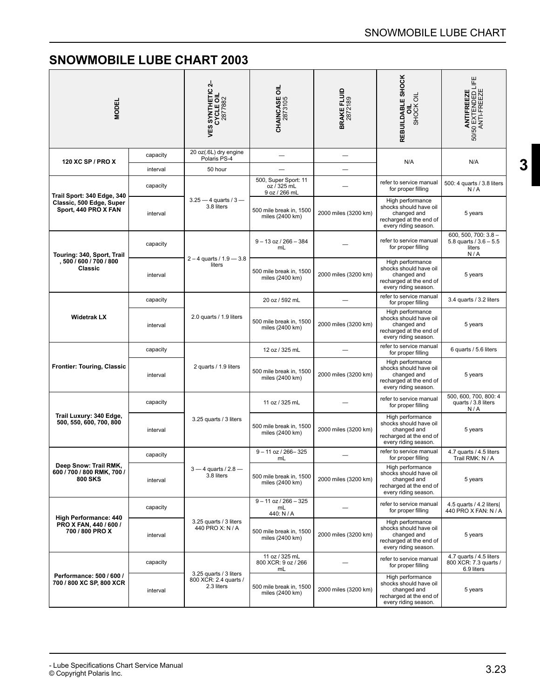<span id="page-24-0"></span>

| <b>MODEL</b>                                                              |          | 4<br><b>VES SYNTHETIC 2</b><br>CYCLE OIL<br>2877882           | ᇹ<br><b>CHAINCASE 0</b><br>2873105                   | BRAKE FLUID<br>2872189 | REBUILDABLE SHOCK<br>SHOCK OIL<br>ಕ                                                                          | ANTIFREEZE<br>50/50 EXTENDED LIFE<br>ANTI-FREEZE                    |
|---------------------------------------------------------------------------|----------|---------------------------------------------------------------|------------------------------------------------------|------------------------|--------------------------------------------------------------------------------------------------------------|---------------------------------------------------------------------|
| 120 XC SP / PRO X                                                         | capacity | 20 oz(.6L) dry engine<br>Polaris PS-4                         |                                                      |                        | N/A                                                                                                          | N/A                                                                 |
|                                                                           | interval | 50 hour                                                       |                                                      |                        |                                                                                                              |                                                                     |
| Trail Sport: 340 Edge, 340                                                | capacity |                                                               | 500, Super Sport: 11<br>oz / 325 mL<br>9 oz / 266 mL |                        | refer to service manual<br>for proper filling                                                                | 500: 4 quarts / 3.8 liters<br>N/A                                   |
| Classic, 500 Edge, Super<br>Sport, 440 PRO X FAN                          | interval | $3.25 - 4$ quarts / $3 -$<br>3.8 liters                       | 500 mile break in, 1500<br>miles (2400 km)           | 2000 miles (3200 km)   | High performance<br>shocks should have oil<br>changed and<br>recharged at the end of<br>every riding season. | 5 years                                                             |
| Touring: 340, Sport, Trail                                                | capacity |                                                               | $9 - 13$ oz $/266 - 384$<br>mL                       |                        | refer to service manual<br>for proper filling                                                                | 600, 500, 700: $3.8 -$<br>5.8 quarts / $3.6 - 5.5$<br>liters<br>N/A |
| , 500 / 600 / 700 / 800<br><b>Classic</b>                                 | interval | $2 - 4$ quarts / 1.9 – 3.8<br>liters                          | 500 mile break in, 1500<br>miles (2400 km)           | 2000 miles (3200 km)   | High performance<br>shocks should have oil<br>changed and<br>recharged at the end of<br>every riding season. | 5 years                                                             |
| <b>Widetrak LX</b>                                                        | capacity |                                                               | 20 oz / 592 mL                                       |                        | refer to service manual<br>for proper filling                                                                | 3.4 quarts / 3.2 liters                                             |
|                                                                           | interval | 2.0 quarts / 1.9 liters                                       | 500 mile break in, 1500<br>miles (2400 km)           | 2000 miles (3200 km)   | High performance<br>shocks should have oil<br>changed and<br>recharged at the end of<br>every riding season. | 5 years                                                             |
| <b>Frontier: Touring, Classic</b>                                         | capacity |                                                               | 12 oz / 325 mL                                       |                        | refer to service manual<br>for proper filling                                                                | 6 quarts / 5.6 liters                                               |
|                                                                           | interval | 2 quarts / 1.9 liters                                         | 500 mile break in, 1500<br>miles (2400 km)           | 2000 miles (3200 km)   | High performance<br>shocks should have oil<br>changed and<br>recharged at the end of<br>every riding season. | 5 years                                                             |
|                                                                           | capacity |                                                               | 11 oz / 325 mL                                       |                        | refer to service manual<br>for proper filling                                                                | 500, 600, 700, 800: 4<br>quarts / 3.8 liters<br>N/A                 |
| Trail Luxury: 340 Edge,<br>500, 550, 600, 700, 800                        | interval | 3.25 quarts / 3 liters                                        | 500 mile break in, 1500<br>miles (2400 km)           | 2000 miles (3200 km)   | High performance<br>shocks should have oil<br>changed and<br>recharged at the end of<br>every riding season. | 5 years                                                             |
|                                                                           | capacity |                                                               | $9 - 11$ oz / 266-325<br>mL                          |                        | refer to service manual<br>for proper filling                                                                | 4.7 quarts / 4.5 liters<br>Trail RMK: N / A                         |
| Deep Show: Irail RMK,<br>600 / 700 / 800 RMK, 700 /<br><b>800 SKS</b>     | interval | $3 - 4$ quarts / 2.8 –<br>3.8 liters                          | 500 mile break in, 1500<br>miles (2400 km)           | 2000 miles (3200 km)   | High performance<br>shocks should have oil<br>changed and<br>recharged at the end of<br>every riding season. | 5 years                                                             |
|                                                                           | capacity |                                                               | $9 - 11$ oz / 266 $-325$<br>mL<br>440: N / A         |                        | refer to service manual<br>for proper filling                                                                | 4.5 quarts / 4.2 liters<br>440 PRO X FAN: N / A                     |
| <b>High Performance: 440</b><br>PRO X FAN, 440 / 600 /<br>700 / 800 PRO X | interval | 3.25 quarts / 3 liters<br>440 PRO X: N / A                    | 500 mile break in, 1500<br>miles (2400 km)           | 2000 miles (3200 km)   | High performance<br>shocks should have oil<br>changed and<br>recharged at the end of<br>every riding season. | 5 years                                                             |
|                                                                           | capacity |                                                               | 11 oz / 325 mL<br>800 XCR: 9 oz / 266<br>mL          |                        | refer to service manual<br>for proper filling                                                                | 4.7 quarts / 4.5 liters<br>800 XCR: 7.3 quarts /<br>6.9 liters      |
| Performance: 500 / 600 /<br>700 / 800 XC SP, 800 XCR                      | interval | 3.25 quarts / 3 liters<br>800 XCR: 2.4 quarts /<br>2.3 liters | 500 mile break in, 1500<br>miles (2400 km)           | 2000 miles (3200 km)   | High performance<br>shocks should have oil<br>changed and<br>recharged at the end of<br>every riding season. | 5 years                                                             |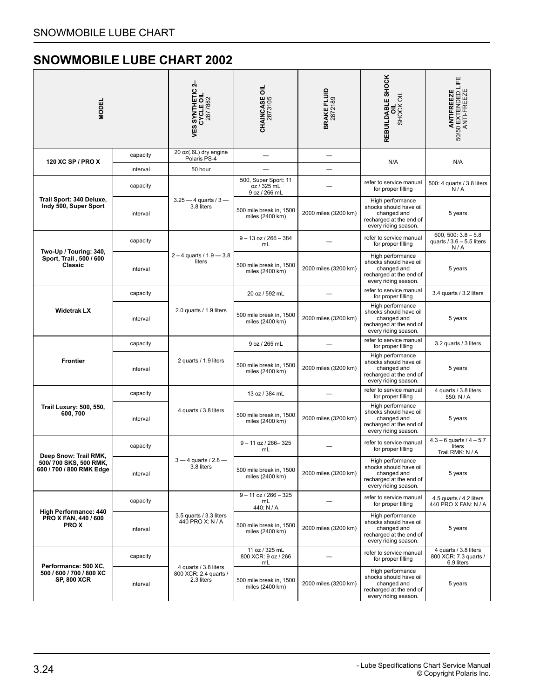<span id="page-25-0"></span>

| <b>MODEL</b>                                                        |                                   | <b>VES SYNTHETIC 2-<br/>CYCLE OIL<br/>2877882</b>            | <b>CHAINCASE OIL</b><br>2873105                      | <b>BRAKE FLUID</b><br>2872189 | REBUILDABLE SHOCK<br>SHOCK OIL<br>ᇹ                                                                          | <b>ANTIFREEZE</b><br>50/50 EXTENDED LIFE<br>ANTI-FREEZE      |
|---------------------------------------------------------------------|-----------------------------------|--------------------------------------------------------------|------------------------------------------------------|-------------------------------|--------------------------------------------------------------------------------------------------------------|--------------------------------------------------------------|
| 120 XC SP / PRO X                                                   | capacity                          | 20 oz(.6L) dry engine<br>Polaris PS-4                        |                                                      |                               | N/A                                                                                                          | N/A                                                          |
|                                                                     | interval                          | 50 hour                                                      |                                                      |                               |                                                                                                              |                                                              |
|                                                                     | capacity                          |                                                              | 500, Super Sport: 11<br>oz / 325 mL<br>9 oz / 266 mL |                               | refer to service manual<br>for proper filling                                                                | 500: 4 quarts / 3.8 liters<br>N/A                            |
| Trail Sport: 340 Deluxe,<br>Indy 500, Super Sport                   | interval                          | $3.25 - 4$ quarts / $3 -$<br>3.8 liters                      | 500 mile break in, 1500<br>miles (2400 km)           | 2000 miles (3200 km)          | High performance<br>shocks should have oil<br>changed and<br>recharged at the end of<br>every riding season. | 5 years                                                      |
|                                                                     | capacity                          | $2 - 4$ quarts / $1.9 - 3.8$<br>liters                       | $9 - 13$ oz / 266 - 384<br>mL                        |                               | refer to service manual<br>for proper filling                                                                | $600, 500: 3.8 - 5.8$<br>quarts $/ 3.6 - 5.5$ liters<br>N/A  |
| Two-Up / Touring: 340,<br>Sport, Trail, 500 / 600<br>Classic        | interval                          |                                                              | 500 mile break in, 1500<br>miles (2400 km)           | 2000 miles (3200 km)          | High performance<br>shocks should have oil<br>changed and<br>recharged at the end of<br>every riding season. | 5 years                                                      |
|                                                                     | capacity                          |                                                              | 20 oz / 592 mL                                       |                               | refer to service manual<br>for proper filling                                                                | 3.4 quarts / 3.2 liters                                      |
| <b>Widetrak LX</b>                                                  | interval                          | 2.0 quarts / 1.9 liters                                      | 500 mile break in, 1500<br>miles (2400 km)           | 2000 miles (3200 km)          | High performance<br>shocks should have oil<br>changed and<br>recharged at the end of<br>every riding season. | 5 years                                                      |
|                                                                     | capacity                          |                                                              | 9 oz / 265 mL                                        |                               | refer to service manual<br>for proper filling                                                                | 3.2 quarts / 3 liters                                        |
| <b>Frontier</b>                                                     | 2 quarts / 1.9 liters<br>interval |                                                              | 500 mile break in, 1500<br>miles (2400 km)           | 2000 miles (3200 km)          | High performance<br>shocks should have oil<br>changed and<br>recharged at the end of<br>every riding season. | 5 years                                                      |
|                                                                     | capacity                          |                                                              | 13 oz / 384 mL                                       |                               | refer to service manual<br>for proper filling                                                                | 4 quarts / 3.8 liters<br>550: N / A                          |
| Trail Luxury: 500, 550,<br>600, 700                                 | interval                          | 4 quarts / 3.8 liters                                        | 500 mile break in, 1500<br>miles (2400 km)           | 2000 miles (3200 km)          | High performance<br>shocks should have oil<br>changed and<br>recharged at the end of<br>every riding season. | 5 years                                                      |
| Deep Snow: Trail RMK,                                               | capacity                          |                                                              | $9 - 11$ oz / 266-325<br>mL                          |                               | refer to service manual<br>for proper filling                                                                | $4.3 - 6$ quarts / $4 - 5.7$<br>liters<br>Trail RMK: N / A   |
| 500/700 SKS, 500 RMK.<br>600 / 700 / 800 RMK Edge                   | interval                          | $3 - 4$ quarts / $2.8 -$<br>3.8 liters                       | 500 mile break in, 1500<br>miles (2400 km)           | 2000 miles (3200 km)          | High performance<br>shocks should have oil<br>changed and<br>recharged at the end of<br>every riding season. | 5 years                                                      |
|                                                                     | capacity                          |                                                              | $9 - 11$ oz / 266 $-325$<br>mL<br>440: N / A         |                               | refer to service manual<br>for proper filling                                                                | 4.5 quarts / 4.2 liters<br>440 PRO X FAN: N / A              |
| <b>High Performance: 440</b><br>PRO X FAN, 440 / 600<br><b>PROX</b> | interval                          | 3.5 quarts / 3.3 liters<br>440 PRO X: N / A                  | 500 mile break in, 1500<br>miles (2400 km)           | 2000 miles (3200 km)          | High performance<br>shocks should have oil<br>changed and<br>recharged at the end of<br>every riding season. | 5 years                                                      |
| Performance: 500 XC,                                                | capacity                          |                                                              | 11 oz / 325 mL<br>800 XCR: 9 oz / 266<br>mL          |                               | refer to service manual<br>for proper filling                                                                | 4 quarts / 3.8 liters<br>800 XCR: 7.3 quarts /<br>6.9 liters |
| 500 / 600 / 700 / 800 XC<br><b>SP, 800 XCR</b>                      | interval                          | 4 quarts / 3.8 liters<br>800 XCR: 2.4 quarts /<br>2.3 liters | 500 mile break in, 1500<br>miles (2400 km)           | 2000 miles (3200 km)          | High performance<br>shocks should have oil<br>changed and<br>recharged at the end of<br>every riding season. | 5 years                                                      |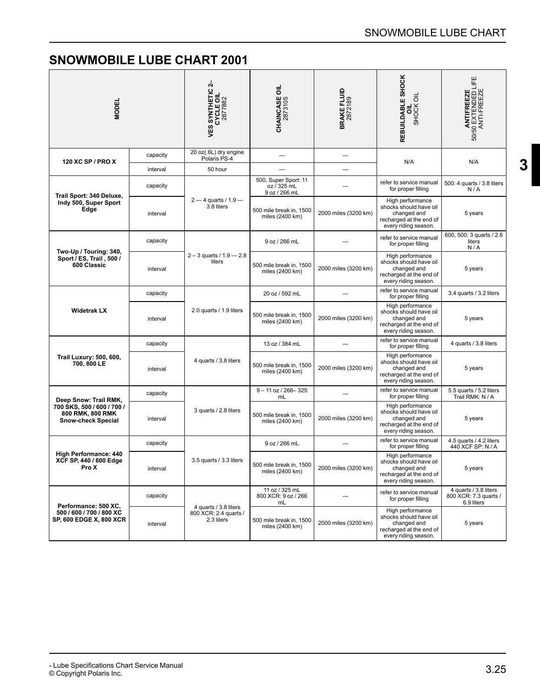| <b>MODEL</b>                                                                                         |          | 4<br><b>VES SYNTHETIC 2<br/>CYCLE OIL<br/>2877882</b>        | ᇹ<br><b>CHAINCASE 0</b><br>2873105                   | <b>BRAKE FLUID</b><br>2872189 | REBUILDABLE SHOCK<br>SHOCK OIL                                                                               | ANTIFREEZE<br>50/50 EXTENDED LIFE<br>ANTI-FREEZE             |
|------------------------------------------------------------------------------------------------------|----------|--------------------------------------------------------------|------------------------------------------------------|-------------------------------|--------------------------------------------------------------------------------------------------------------|--------------------------------------------------------------|
| 120 XC SP / PRO X                                                                                    | capacity | 20 oz(.6L) dry engine<br>Polaris PS-4                        |                                                      |                               | N/A                                                                                                          | N/A                                                          |
|                                                                                                      | interval | 50 hour                                                      |                                                      |                               |                                                                                                              |                                                              |
| Trail Sport: 340 Deluxe,                                                                             | capacity |                                                              | 500, Super Sport: 11<br>oz / 325 mL<br>9 oz / 266 mL |                               | refer to service manual<br>for proper filling                                                                | 500: 4 quarts / 3.8 liters<br>N/A                            |
| Indy 500, Super Sport<br>Edge                                                                        | interval | $2 - 4$ quarts / 1.9 $-$<br>3.8 liters                       | 500 mile break in, 1500<br>miles (2400 km)           | 2000 miles (3200 km)          | High performance<br>shocks should have oil<br>changed and<br>recharged at the end of<br>every riding season. | 5 years                                                      |
|                                                                                                      | capacity | $2 - 3$ quarts / $1.9 - 2.8$<br>liters                       | 9 oz / 266 mL                                        |                               | refer to service manual<br>for proper filling                                                                | 600, 500: 3 quarts / 2.8<br>liters<br>N/A                    |
| Two-Up / Touring: 340,<br>Sport / ES, Trail, 500 /<br>600 Classic                                    | interval |                                                              | 500 mile break in, 1500<br>miles (2400 km)           | 2000 miles (3200 km)          | High performance<br>shocks should have oil<br>changed and<br>recharged at the end of<br>every riding season. | 5 years                                                      |
| <b>Widetrak LX</b>                                                                                   | capacity | 2.0 quarts / 1.9 liters                                      | 20 oz / 592 mL                                       |                               | refer to service manual<br>for proper filling                                                                | 3.4 quarts / 3.2 liters                                      |
|                                                                                                      | interval |                                                              | 500 mile break in, 1500<br>miles (2400 km)           | 2000 miles (3200 km)          | High performance<br>shocks should have oil<br>changed and<br>recharged at the end of<br>every riding season. | 5 years                                                      |
|                                                                                                      | capacity |                                                              | 13 oz / 384 mL                                       |                               | refer to service manual<br>for proper filling                                                                | 4 quarts / 3.8 liters                                        |
| <b>Trail Luxury: 500, 600,</b><br>700, 800 LE                                                        | interval | 4 quarts / 3.8 liters                                        | 500 mile break in, 1500<br>miles (2400 km)           | 2000 miles (3200 km)          | High performance<br>shocks should have oil<br>changed and<br>recharged at the end of<br>every riding season. | 5 years                                                      |
|                                                                                                      | capacity |                                                              | $9 - 11$ oz / 266-325<br>mL                          |                               | refer to service manual<br>for proper filling                                                                | 5.5 quarts / 5.2 liters<br>Trail RMK: N / A                  |
| Deep Snow: Trail RMK,<br>700 SKS, 500 / 600 / 700 /<br>800 RMK, 800 RMK<br><b>Snow-check Special</b> | interval | 3 quarts / 2.8 liters                                        | 500 mile break in, 1500<br>miles (2400 km)           | 2000 miles (3200 km)          | High performance<br>shocks should have oil<br>changed and<br>recharged at the end of<br>every riding season. | 5 years                                                      |
|                                                                                                      | capacity |                                                              | 9 oz / 266 mL                                        |                               | refer to service manual<br>for proper filling                                                                | 4.5 quarts / 4.2 liters<br>440 XCF SP: N / A                 |
| <b>High Performance: 440</b><br>XCF SP, 440 / 600 Edge<br>Pro X                                      | interval | 3.5 quarts / 3.3 liters                                      | 500 mile break in, 1500<br>miles (2400 km)           | 2000 miles (3200 km)          | High performance<br>shocks should have oil<br>changed and<br>recharged at the end of<br>every riding season. | 5 years                                                      |
| Performance: 500 XC,                                                                                 | capacity |                                                              | 11 oz / 325 mL<br>800 XCR: 9 oz / 266<br>mL          |                               | refer to service manual<br>for proper filling                                                                | 4 quarts / 3.8 liters<br>800 XCR: 7.3 quarts /<br>6.9 liters |
| 500 / 600 / 700 / 800 XC<br>SP, 600 EDGE X, 800 XCR                                                  | interval | 4 quarts / 3.8 liters<br>800 XCR: 2.4 quarts /<br>2.3 liters | 500 mile break in, 1500<br>miles (2400 km)           | 2000 miles (3200 km)          | High performance<br>shocks should have oil<br>changed and<br>recharged at the end of<br>every riding season. | 5 years                                                      |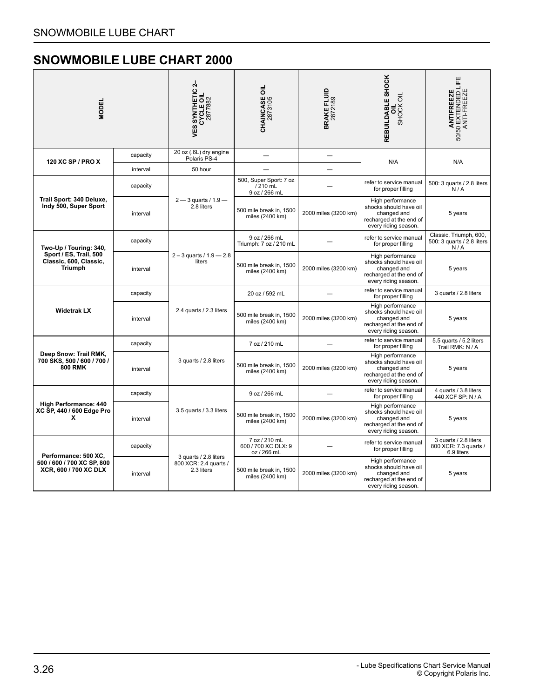| <b>MODEL</b>                                                                                 |          | 4<br><b>VES SYNTHETIC 2<br/>CYCLE OIL<br/>2877882</b>        | <b>CHAINCASE OIL</b><br>2873105                     | BRAKE FLUID<br>2872189 | REBUILDABLE SHOCK<br>SHOCK OIL<br>ᇹ                                                                          | LIFE<br>ANTIFREEZE<br>50/50 EXTENDED LI<br>ANTI-FREEZE       |
|----------------------------------------------------------------------------------------------|----------|--------------------------------------------------------------|-----------------------------------------------------|------------------------|--------------------------------------------------------------------------------------------------------------|--------------------------------------------------------------|
| 120 XC SP / PRO X                                                                            | capacity | 20 oz (.6L) dry engine<br>Polaris PS-4<br>50 hour            |                                                     |                        | N/A                                                                                                          | N/A                                                          |
|                                                                                              | interval |                                                              |                                                     |                        |                                                                                                              |                                                              |
| Trail Sport: 340 Deluxe,<br>Indy 500, Super Sport                                            | capacity | $2 - 3$ quarts / 1.9 $-$<br>2.8 liters                       | 500, Super Sport: 7 oz<br>/210 mL<br>9 oz / 266 mL  |                        | refer to service manual<br>for proper filling                                                                | 500: 3 quarts / 2.8 liters<br>N/A                            |
|                                                                                              | interval |                                                              | 500 mile break in, 1500<br>miles (2400 km)          | 2000 miles (3200 km)   | High performance<br>shocks should have oil<br>changed and<br>recharged at the end of<br>every riding season. | 5 years                                                      |
| Two-Up / Touring: 340,<br>Sport / ES, Trail, 500<br>Classic, 600, Classic,<br><b>Triumph</b> | capacity | $2 - 3$ quarts / 1.9 - 2.8<br>liters                         | 9 oz / 266 mL<br>Triumph: 7 oz / 210 mL             |                        | refer to service manual<br>for proper filling                                                                | Classic, Triumph, 600,<br>500: 3 quarts / 2.8 liters<br>N/A  |
|                                                                                              | interval |                                                              | 500 mile break in, 1500<br>miles (2400 km)          | 2000 miles (3200 km)   | High performance<br>shocks should have oil<br>changed and<br>recharged at the end of<br>every riding season. | 5 years                                                      |
| <b>Widetrak LX</b>                                                                           | capacity | 2.4 quarts / 2.3 liters                                      | 20 oz / 592 mL                                      |                        | refer to service manual<br>for proper filling                                                                | 3 quarts / 2.8 liters                                        |
|                                                                                              | interval |                                                              | 500 mile break in, 1500<br>miles (2400 km)          | 2000 miles (3200 km)   | High performance<br>shocks should have oil<br>changed and<br>recharged at the end of<br>every riding season. | 5 years                                                      |
| Deep Snow: Trail RMK,<br>700 SKS, 500 / 600 / 700 /<br><b>800 RMK</b>                        | capacity | 3 quarts / 2.8 liters                                        | 7 oz / 210 mL                                       |                        | refer to service manual<br>for proper filling                                                                | 5.5 quarts / 5.2 liters<br>Trail RMK: N / A                  |
|                                                                                              | interval |                                                              | 500 mile break in, 1500<br>miles (2400 km)          | 2000 miles (3200 km)   | High performance<br>shocks should have oil<br>changed and<br>recharged at the end of<br>every riding season. | 5 years                                                      |
| <b>High Performance: 440</b><br>XC SP, 440 / 600 Edge Pro<br>x                               | capacity | 3.5 quarts / 3.3 liters                                      | 9 oz / 266 mL                                       |                        | refer to service manual<br>for proper filling                                                                | 4 quarts / 3.8 liters<br>440 XCF SP: N / A                   |
|                                                                                              | interval |                                                              | 500 mile break in, 1500<br>miles (2400 km)          | 2000 miles (3200 km)   | High performance<br>shocks should have oil<br>changed and<br>recharged at the end of<br>every riding season. | 5 years                                                      |
| Performance: 500 XC,<br>500 / 600 / 700 XC SP, 800<br>XCR, 600 / 700 XC DLX                  | capacity | 3 quarts / 2.8 liters<br>800 XCR: 2.4 quarts /<br>2.3 liters | 7 oz / 210 mL<br>600 / 700 XC DLX: 9<br>oz / 266 mL |                        | refer to service manual<br>for proper filling                                                                | 3 quarts / 2.8 liters<br>800 XCR: 7.3 quarts /<br>6.9 liters |
|                                                                                              | interval |                                                              | 500 mile break in, 1500<br>miles (2400 km)          | 2000 miles (3200 km)   | High performance<br>shocks should have oil<br>changed and<br>recharged at the end of<br>every riding season. | 5 years                                                      |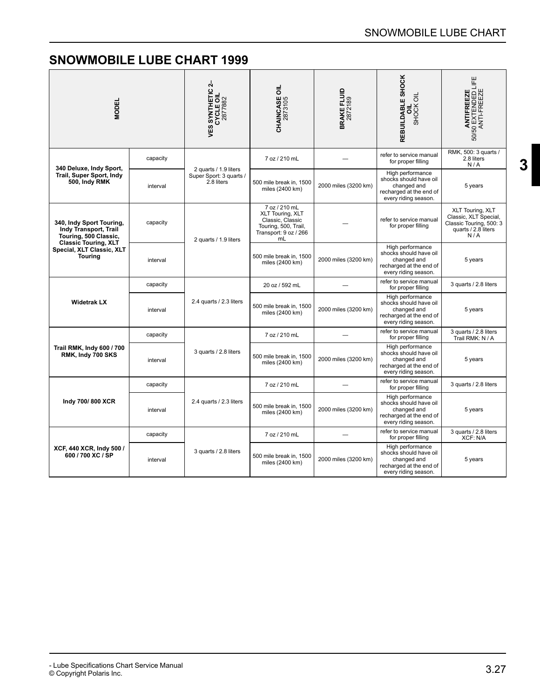| <b>MODEL</b>                                                                                                                                             |          | $\mathbf{r}$<br><b>VES SYNTHETIC 2</b><br>CYCLE OIL<br>2877882 | <b>CHAINCASE OIL</b><br>2873105                                                                              | BRAKE FLUID<br>2872189 | REBUILDABLE SHOCK<br>SHOCK OIL<br>อี                                                                         | <b>ANTIFREEZE</b><br>50/50 EXTENDED LIFE<br>ANTI-FREEZE                                            |
|----------------------------------------------------------------------------------------------------------------------------------------------------------|----------|----------------------------------------------------------------|--------------------------------------------------------------------------------------------------------------|------------------------|--------------------------------------------------------------------------------------------------------------|----------------------------------------------------------------------------------------------------|
| 340 Deluxe, Indy Sport,<br>Trail, Super Sport, Indy<br>500, Indy RMK                                                                                     | capacity | 2 quarts / 1.9 liters<br>Super Sport: 3 quarts /<br>2.8 liters | 7 oz / 210 mL                                                                                                |                        | refer to service manual<br>for proper filling                                                                | RMK, 500: 3 quarts /<br>2.8 liters<br>N/A                                                          |
|                                                                                                                                                          | interval |                                                                | 500 mile break in, 1500<br>miles (2400 km)                                                                   | 2000 miles (3200 km)   | High performance<br>shocks should have oil<br>changed and<br>recharged at the end of<br>every riding season. | 5 years                                                                                            |
| 340, Indy Sport Touring,<br>Indy Transport, Trail<br>Touring, 500 Classic,<br><b>Classic Touring, XLT</b><br>Special, XLT Classic, XLT<br><b>Touring</b> | capacity | 2 quarts / 1.9 liters                                          | 7 oz / 210 mL<br>XLT Touring, XLT<br>Classic, Classic<br>Touring, 500, Trail,<br>Transport: 9 oz / 266<br>mL |                        | refer to service manual<br>for proper filling                                                                | XLT Touring, XLT<br>Classic, XLT Special,<br>Classic Touring, 500: 3<br>quarts / 2.8 liters<br>N/A |
|                                                                                                                                                          | interval |                                                                | 500 mile break in, 1500<br>miles (2400 km)                                                                   | 2000 miles (3200 km)   | High performance<br>shocks should have oil<br>changed and<br>recharged at the end of<br>every riding season. | 5 years                                                                                            |
| <b>Widetrak LX</b>                                                                                                                                       | capacity | 2.4 quarts / 2.3 liters                                        | 20 oz / 592 mL                                                                                               |                        | refer to service manual<br>for proper filling                                                                | 3 quarts / 2.8 liters                                                                              |
|                                                                                                                                                          | interval |                                                                | 500 mile break in, 1500<br>miles (2400 km)                                                                   | 2000 miles (3200 km)   | High performance<br>shocks should have oil<br>changed and<br>recharged at the end of<br>every riding season. | 5 years                                                                                            |
| Trail RMK, Indy 600 / 700<br>RMK, Indy 700 SKS                                                                                                           | capacity | 3 quarts / 2.8 liters                                          | 7 oz / 210 mL                                                                                                |                        | refer to service manual<br>for proper filling                                                                | 3 quarts / 2.8 liters<br>Trail RMK: N / A                                                          |
|                                                                                                                                                          | interval |                                                                | 500 mile break in, 1500<br>miles (2400 km)                                                                   | 2000 miles (3200 km)   | High performance<br>shocks should have oil<br>changed and<br>recharged at the end of<br>every riding season. | 5 years                                                                                            |
| Indy 700/800 XCR                                                                                                                                         | capacity | 2.4 quarts / 2.3 liters                                        | 7 oz / 210 mL                                                                                                |                        | refer to service manual<br>for proper filling                                                                | 3 quarts / 2.8 liters                                                                              |
|                                                                                                                                                          | interval |                                                                | 500 mile break in, 1500<br>miles (2400 km)                                                                   | 2000 miles (3200 km)   | High performance<br>shocks should have oil<br>changed and<br>recharged at the end of<br>every riding season. | 5 years                                                                                            |
| XCF, 440 XCR, Indy 500 /<br>600 / 700 XC / SP                                                                                                            | capacity | 3 quarts / 2.8 liters                                          | 7 oz / 210 mL                                                                                                |                        | refer to service manual<br>for proper filling                                                                | 3 quarts / 2.8 liters<br>XCF: N/A                                                                  |
|                                                                                                                                                          | interval |                                                                | 500 mile break in, 1500<br>miles (2400 km)                                                                   | 2000 miles (3200 km)   | High performance<br>shocks should have oil<br>changed and<br>recharged at the end of<br>every riding season. | 5 years                                                                                            |